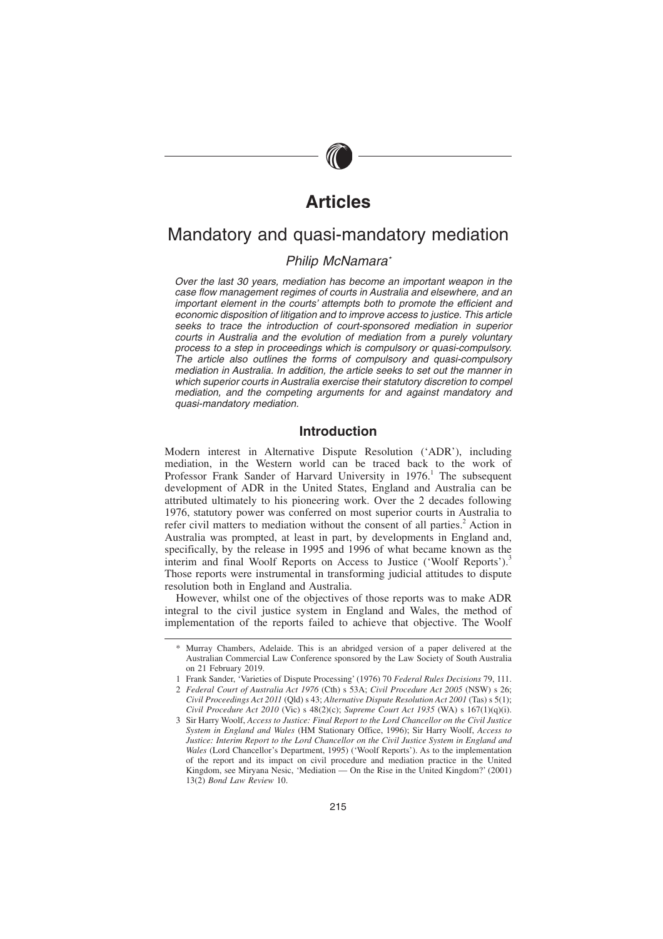# **Articles**

# Mandatory and quasi-mandatory mediation

# Philip McNamara\*

Over the last 30 years, mediation has become an important weapon in the case flow management regimes of courts in Australia and elsewhere, and an important element in the courts' attempts both to promote the efficient and economic disposition of litigation and to improve access to justice. This article seeks to trace the introduction of court-sponsored mediation in superior courts in Australia and the evolution of mediation from a purely voluntary process to a step in proceedings which is compulsory or quasi-compulsory. The article also outlines the forms of compulsory and quasi-compulsory mediation in Australia. In addition, the article seeks to set out the manner in which superior courts in Australia exercise their statutory discretion to compel mediation, and the competing arguments for and against mandatory and quasi-mandatory mediation.

### **Introduction**

Modern interest in Alternative Dispute Resolution ('ADR'), including mediation, in the Western world can be traced back to the work of Professor Frank Sander of Harvard University in 1976.<sup>1</sup> The subsequent development of ADR in the United States, England and Australia can be attributed ultimately to his pioneering work. Over the 2 decades following 1976, statutory power was conferred on most superior courts in Australia to refer civil matters to mediation without the consent of all parties.<sup>2</sup> Action in Australia was prompted, at least in part, by developments in England and, specifically, by the release in 1995 and 1996 of what became known as the interim and final Woolf Reports on Access to Justice ('Woolf Reports').<sup>3</sup> Those reports were instrumental in transforming judicial attitudes to dispute resolution both in England and Australia.

However, whilst one of the objectives of those reports was to make ADR integral to the civil justice system in England and Wales, the method of implementation of the reports failed to achieve that objective. The Woolf

Murray Chambers, Adelaide. This is an abridged version of a paper delivered at the Australian Commercial Law Conference sponsored by the Law Society of South Australia on 21 February 2019.

<sup>1</sup> Frank Sander, 'Varieties of Dispute Processing' (1976) 70 *Federal Rules Decisions* 79, 111. 2 *Federal Court of Australia Act 1976* (Cth) s 53A; *Civil Procedure Act 2005* (NSW) s 26;

*Civil Proceedings Act 2011* (Qld) s 43; *Alternative Dispute Resolution Act 2001* (Tas) s 5(1); *Civil Procedure Act 2010* (Vic) s 48(2)(c); *Supreme Court Act 1935* (WA) s 167(1)(q)(i).

<sup>3</sup> Sir Harry Woolf, *Access to Justice: Final Report to the Lord Chancellor on the Civil Justice System in England and Wales* (HM Stationary Office, 1996); Sir Harry Woolf, *Access to Justice: Interim Report to the Lord Chancellor on the Civil Justice System in England and Wales* (Lord Chancellor's Department, 1995) ('Woolf Reports'). As to the implementation of the report and its impact on civil procedure and mediation practice in the United Kingdom, see Miryana Nesic, 'Mediation — On the Rise in the United Kingdom?' (2001) 13(2) *Bond Law Review* 10.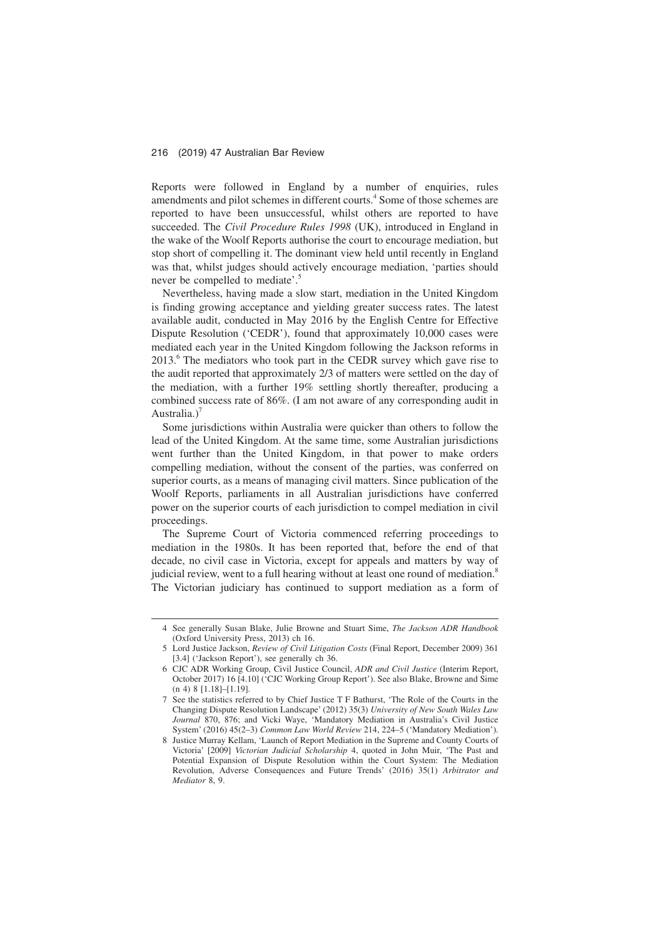Reports were followed in England by a number of enquiries, rules amendments and pilot schemes in different courts.<sup>4</sup> Some of those schemes are reported to have been unsuccessful, whilst others are reported to have succeeded. The *Civil Procedure Rules 1998* (UK), introduced in England in the wake of the Woolf Reports authorise the court to encourage mediation, but stop short of compelling it. The dominant view held until recently in England was that, whilst judges should actively encourage mediation, 'parties should never be compelled to mediate'.<sup>5</sup>

Nevertheless, having made a slow start, mediation in the United Kingdom is finding growing acceptance and yielding greater success rates. The latest available audit, conducted in May 2016 by the English Centre for Effective Dispute Resolution ('CEDR'), found that approximately 10,000 cases were mediated each year in the United Kingdom following the Jackson reforms in 2013.<sup>6</sup> The mediators who took part in the CEDR survey which gave rise to the audit reported that approximately 2/3 of matters were settled on the day of the mediation, with a further 19% settling shortly thereafter, producing a combined success rate of 86%. (I am not aware of any corresponding audit in Australia.)<sup>7</sup>

Some jurisdictions within Australia were quicker than others to follow the lead of the United Kingdom. At the same time, some Australian jurisdictions went further than the United Kingdom, in that power to make orders compelling mediation, without the consent of the parties, was conferred on superior courts, as a means of managing civil matters. Since publication of the Woolf Reports, parliaments in all Australian jurisdictions have conferred power on the superior courts of each jurisdiction to compel mediation in civil proceedings.

The Supreme Court of Victoria commenced referring proceedings to mediation in the 1980s. It has been reported that, before the end of that decade, no civil case in Victoria, except for appeals and matters by way of judicial review, went to a full hearing without at least one round of mediation.<sup>8</sup> The Victorian judiciary has continued to support mediation as a form of

<sup>4</sup> See generally Susan Blake, Julie Browne and Stuart Sime, *The Jackson ADR Handbook* (Oxford University Press, 2013) ch 16.

<sup>5</sup> Lord Justice Jackson, *Review of Civil Litigation Costs* (Final Report, December 2009) 361 [3.4] ('Jackson Report'), see generally ch 36.

<sup>6</sup> CJC ADR Working Group, Civil Justice Council, *ADR and Civil Justice* (Interim Report, October 2017) 16 [4.10] ('CJC Working Group Report'). See also Blake, Browne and Sime (n 4) 8 [1.18]–[1.19].

<sup>7</sup> See the statistics referred to by Chief Justice T F Bathurst, 'The Role of the Courts in the Changing Dispute Resolution Landscape' (2012) 35(3) *University of New South Wales Law Journal* 870, 876; and Vicki Waye, 'Mandatory Mediation in Australia's Civil Justice System' (2016) 45(2–3) *Common Law World Review* 214, 224–5 ('Mandatory Mediation').

<sup>8</sup> Justice Murray Kellam, 'Launch of Report Mediation in the Supreme and County Courts of Victoria' [2009] *Victorian Judicial Scholarship* 4, quoted in John Muir, 'The Past and Potential Expansion of Dispute Resolution within the Court System: The Mediation Revolution, Adverse Consequences and Future Trends' (2016) 35(1) *Arbitrator and Mediator* 8, 9.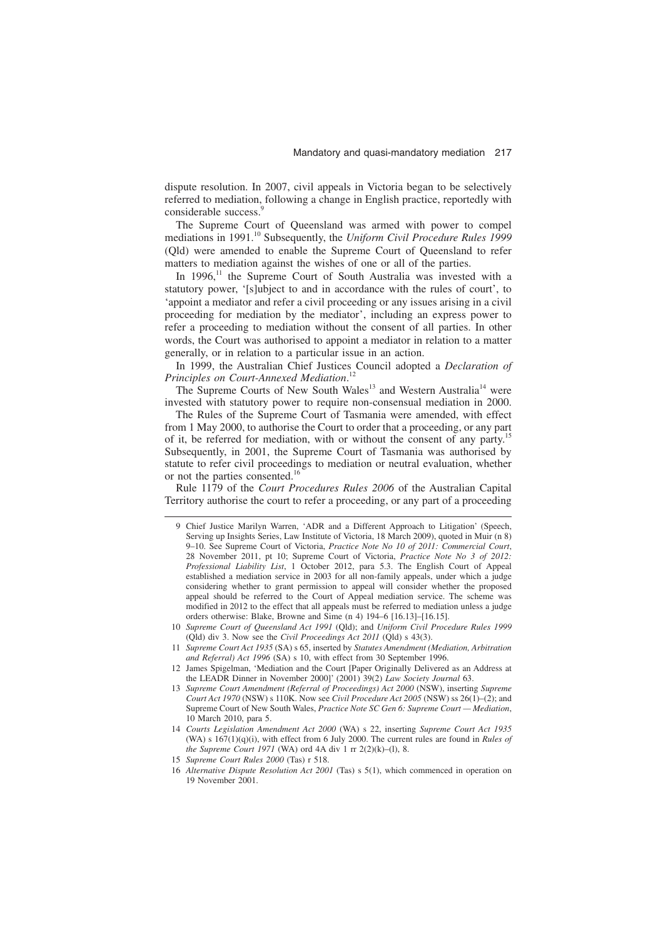dispute resolution. In 2007, civil appeals in Victoria began to be selectively referred to mediation, following a change in English practice, reportedly with considerable success.<sup>9</sup>

The Supreme Court of Queensland was armed with power to compel mediations in 1991.<sup>10</sup> Subsequently, the *Uniform Civil Procedure Rules 1999* (Qld) were amended to enable the Supreme Court of Queensland to refer matters to mediation against the wishes of one or all of the parties.

In  $1996$ ,<sup>11</sup> the Supreme Court of South Australia was invested with a statutory power, '[s]ubject to and in accordance with the rules of court', to 'appoint a mediator and refer a civil proceeding or any issues arising in a civil proceeding for mediation by the mediator', including an express power to refer a proceeding to mediation without the consent of all parties. In other words, the Court was authorised to appoint a mediator in relation to a matter generally, or in relation to a particular issue in an action.

In 1999, the Australian Chief Justices Council adopted a *Declaration of Principles on Court-Annexed Mediation*. 12

The Supreme Courts of New South Wales<sup>13</sup> and Western Australia<sup>14</sup> were invested with statutory power to require non-consensual mediation in 2000.

The Rules of the Supreme Court of Tasmania were amended, with effect from 1 May 2000, to authorise the Court to order that a proceeding, or any part of it, be referred for mediation, with or without the consent of any party.<sup>1</sup> Subsequently, in 2001, the Supreme Court of Tasmania was authorised by statute to refer civil proceedings to mediation or neutral evaluation, whether or not the parties consented.<sup>16</sup>

Rule 1179 of the *Court Procedures Rules 2006* of the Australian Capital Territory authorise the court to refer a proceeding, or any part of a proceeding

- 11 *Supreme Court Act 1935* (SA) s 65, inserted by *Statutes Amendment (Mediation, Arbitration and Referral) Act 1996* (SA) s 10, with effect from 30 September 1996.
- 12 James Spigelman, 'Mediation and the Court [Paper Originally Delivered as an Address at the LEADR Dinner in November 2000]' (2001) 39(2) *Law Society Journal* 63.
- 13 *Supreme Court Amendment (Referral of Proceedings) Act 2000* (NSW), inserting *Supreme Court Act 1970* (NSW) s 110K. Now see *Civil Procedure Act 2005* (NSW) ss 26(1)–(2); and Supreme Court of New South Wales, *Practice Note SC Gen 6: Supreme Court — Mediation*, 10 March 2010, para 5.
- 14 *Courts Legislation Amendment Act 2000* (WA) s 22, inserting *Supreme Court Act 1935* (WA) s 167(1)(q)(i), with effect from 6 July 2000. The current rules are found in *Rules of the Supreme Court 1971* (WA) ord 4A div 1 rr 2(2)(k)–(l), 8.
- 15 *Supreme Court Rules 2000* (Tas) r 518.

<sup>9</sup> Chief Justice Marilyn Warren, 'ADR and a Different Approach to Litigation' (Speech, Serving up Insights Series, Law Institute of Victoria, 18 March 2009), quoted in Muir (n 8) 9–10. See Supreme Court of Victoria, *Practice Note No 10 of 2011: Commercial Court*, 28 November 2011, pt 10; Supreme Court of Victoria, *Practice Note No 3 of 2012: Professional Liability List*, 1 October 2012, para 5.3. The English Court of Appeal established a mediation service in 2003 for all non-family appeals, under which a judge considering whether to grant permission to appeal will consider whether the proposed appeal should be referred to the Court of Appeal mediation service. The scheme was modified in 2012 to the effect that all appeals must be referred to mediation unless a judge orders otherwise: Blake, Browne and Sime (n 4) 194–6 [16.13]–[16.15].

<sup>10</sup> *Supreme Court of Queensland Act 1991* (Qld); and *Uniform Civil Procedure Rules 1999* (Qld) div 3. Now see the *Civil Proceedings Act 2011* (Qld) s 43(3).

<sup>16</sup> *Alternative Dispute Resolution Act 2001* (Tas) s 5(1), which commenced in operation on 19 November 2001.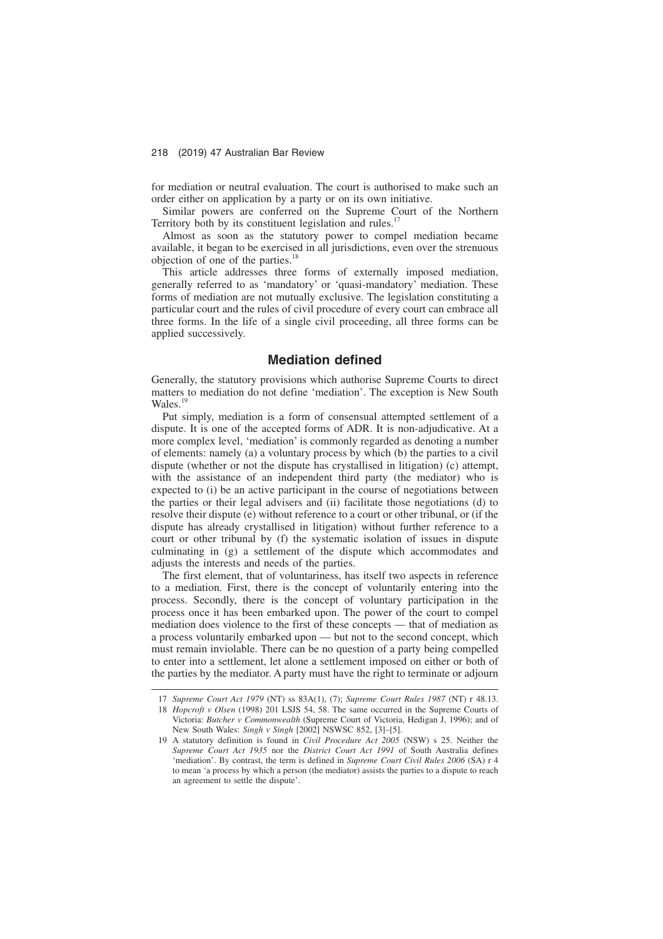for mediation or neutral evaluation. The court is authorised to make such an order either on application by a party or on its own initiative.

Similar powers are conferred on the Supreme Court of the Northern Territory both by its constituent legislation and rules.

Almost as soon as the statutory power to compel mediation became available, it began to be exercised in all jurisdictions, even over the strenuous objection of one of the parties.<sup>1</sup>

This article addresses three forms of externally imposed mediation, generally referred to as 'mandatory' or 'quasi-mandatory' mediation. These forms of mediation are not mutually exclusive. The legislation constituting a particular court and the rules of civil procedure of every court can embrace all three forms. In the life of a single civil proceeding, all three forms can be applied successively.

# **Mediation defined**

Generally, the statutory provisions which authorise Supreme Courts to direct matters to mediation do not define 'mediation'. The exception is New South Wales.<sup>19</sup>

Put simply, mediation is a form of consensual attempted settlement of a dispute. It is one of the accepted forms of ADR. It is non-adjudicative. At a more complex level, 'mediation' is commonly regarded as denoting a number of elements: namely (a) a voluntary process by which (b) the parties to a civil dispute (whether or not the dispute has crystallised in litigation) (c) attempt, with the assistance of an independent third party (the mediator) who is expected to (i) be an active participant in the course of negotiations between the parties or their legal advisers and (ii) facilitate those negotiations (d) to resolve their dispute (e) without reference to a court or other tribunal, or (if the dispute has already crystallised in litigation) without further reference to a court or other tribunal by (f) the systematic isolation of issues in dispute culminating in (g) a settlement of the dispute which accommodates and adjusts the interests and needs of the parties.

The first element, that of voluntariness, has itself two aspects in reference to a mediation. First, there is the concept of voluntarily entering into the process. Secondly, there is the concept of voluntary participation in the process once it has been embarked upon. The power of the court to compel mediation does violence to the first of these concepts — that of mediation as a process voluntarily embarked upon — but not to the second concept, which must remain inviolable. There can be no question of a party being compelled to enter into a settlement, let alone a settlement imposed on either or both of the parties by the mediator. A party must have the right to terminate or adjourn

<sup>17</sup> *Supreme Court Act 1979* (NT) ss 83A(1), (7); *Supreme Court Rules 1987* (NT) r 48.13.

<sup>18</sup> *Hopcroft v Olsen* (1998) 201 LSJS 54, 58. The same occurred in the Supreme Courts of Victoria: *Butcher v Commonwealth* (Supreme Court of Victoria, Hedigan J, 1996); and of New South Wales: *Singh v Singh* [2002] NSWSC 852, [3]–[5].

<sup>19</sup> A statutory definition is found in *Civil Procedure Act 2005* (NSW) s 25. Neither the *Supreme Court Act 1935* nor the *District Court Act 1991* of South Australia defines 'mediation'. By contrast, the term is defined in *Supreme Court Civil Rules 2006* (SA) r 4 to mean 'a process by which a person (the mediator) assists the parties to a dispute to reach an agreement to settle the dispute'.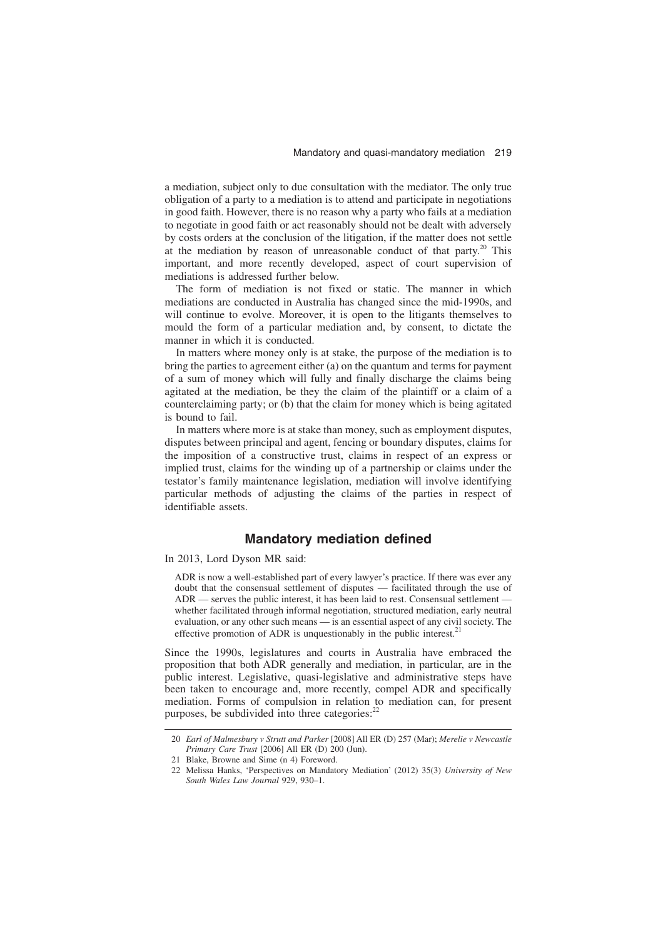a mediation, subject only to due consultation with the mediator. The only true obligation of a party to a mediation is to attend and participate in negotiations in good faith. However, there is no reason why a party who fails at a mediation to negotiate in good faith or act reasonably should not be dealt with adversely by costs orders at the conclusion of the litigation, if the matter does not settle at the mediation by reason of unreasonable conduct of that party.<sup>20</sup> This important, and more recently developed, aspect of court supervision of mediations is addressed further below.

The form of mediation is not fixed or static. The manner in which mediations are conducted in Australia has changed since the mid-1990s, and will continue to evolve. Moreover, it is open to the litigants themselves to mould the form of a particular mediation and, by consent, to dictate the manner in which it is conducted.

In matters where money only is at stake, the purpose of the mediation is to bring the parties to agreement either (a) on the quantum and terms for payment of a sum of money which will fully and finally discharge the claims being agitated at the mediation, be they the claim of the plaintiff or a claim of a counterclaiming party; or (b) that the claim for money which is being agitated is bound to fail.

In matters where more is at stake than money, such as employment disputes, disputes between principal and agent, fencing or boundary disputes, claims for the imposition of a constructive trust, claims in respect of an express or implied trust, claims for the winding up of a partnership or claims under the testator's family maintenance legislation, mediation will involve identifying particular methods of adjusting the claims of the parties in respect of identifiable assets.

## **Mandatory mediation defined**

#### In 2013, Lord Dyson MR said:

ADR is now a well-established part of every lawyer's practice. If there was ever any doubt that the consensual settlement of disputes — facilitated through the use of ADR — serves the public interest, it has been laid to rest. Consensual settlement whether facilitated through informal negotiation, structured mediation, early neutral evaluation, or any other such means — is an essential aspect of any civil society. The effective promotion of ADR is unquestionably in the public interest.<sup>21</sup>

Since the 1990s, legislatures and courts in Australia have embraced the proposition that both ADR generally and mediation, in particular, are in the public interest. Legislative, quasi-legislative and administrative steps have been taken to encourage and, more recently, compel ADR and specifically mediation. Forms of compulsion in relation to mediation can, for present purposes, be subdivided into three categories: $^{22}$ 

<sup>20</sup> *Earl of Malmesbury v Strutt and Parker* [2008] All ER (D) 257 (Mar); *Merelie v Newcastle Primary Care Trust* [2006] All ER (D) 200 (Jun).

<sup>21</sup> Blake, Browne and Sime (n 4) Foreword.

<sup>22</sup> Melissa Hanks, 'Perspectives on Mandatory Mediation' (2012) 35(3) *University of New South Wales Law Journal* 929, 930–1.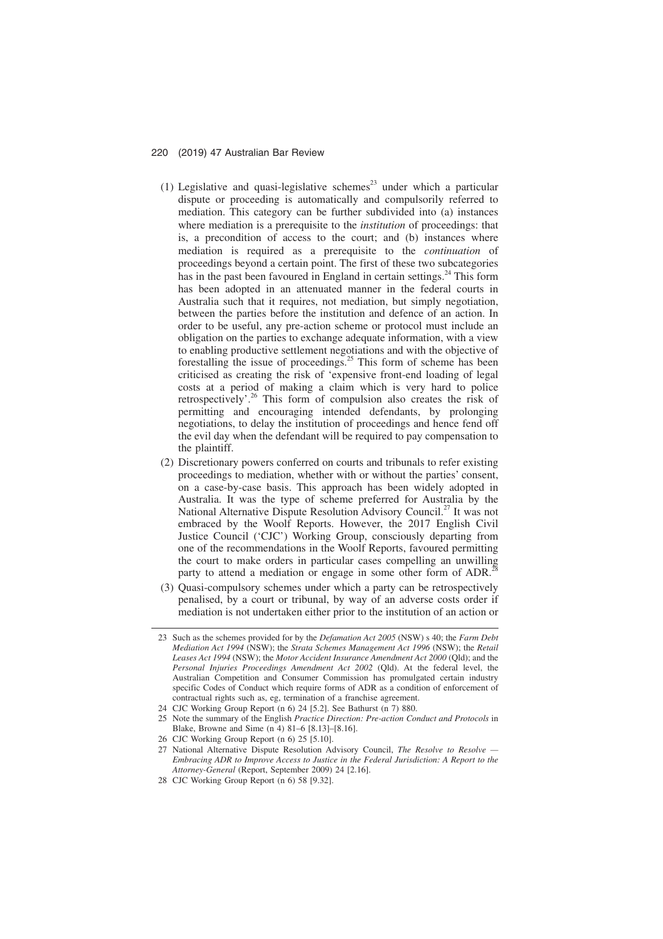- (1) Legislative and quasi-legislative schemes<sup>23</sup> under which a particular dispute or proceeding is automatically and compulsorily referred to mediation. This category can be further subdivided into (a) instances where mediation is a prerequisite to the *institution* of proceedings: that is, a precondition of access to the court; and (b) instances where mediation is required as a prerequisite to the *continuation* of proceedings beyond a certain point. The first of these two subcategories has in the past been favoured in England in certain settings. $^{24}$  This form has been adopted in an attenuated manner in the federal courts in Australia such that it requires, not mediation, but simply negotiation, between the parties before the institution and defence of an action. In order to be useful, any pre-action scheme or protocol must include an obligation on the parties to exchange adequate information, with a view to enabling productive settlement negotiations and with the objective of forestalling the issue of proceedings. $25$  This form of scheme has been criticised as creating the risk of 'expensive front-end loading of legal costs at a period of making a claim which is very hard to police retrospectively'.<sup>26</sup> This form of compulsion also creates the risk of permitting and encouraging intended defendants, by prolonging negotiations, to delay the institution of proceedings and hence fend off the evil day when the defendant will be required to pay compensation to the plaintiff.
- (2) Discretionary powers conferred on courts and tribunals to refer existing proceedings to mediation, whether with or without the parties' consent, on a case-by-case basis. This approach has been widely adopted in Australia. It was the type of scheme preferred for Australia by the National Alternative Dispute Resolution Advisory Council.<sup>27</sup> It was not embraced by the Woolf Reports. However, the 2017 English Civil Justice Council ('CJC') Working Group, consciously departing from one of the recommendations in the Woolf Reports, favoured permitting the court to make orders in particular cases compelling an unwilling party to attend a mediation or engage in some other form of ADR.<sup>2</sup>
- (3) Quasi-compulsory schemes under which a party can be retrospectively penalised, by a court or tribunal, by way of an adverse costs order if mediation is not undertaken either prior to the institution of an action or

<sup>23</sup> Such as the schemes provided for by the *Defamation Act 2005* (NSW) s 40; the *Farm Debt Mediation Act 1994* (NSW); the *Strata Schemes Management Act 1996* (NSW); the *Retail Leases Act 1994* (NSW); the *Motor Accident Insurance Amendment Act 2000* (Qld); and the *Personal Injuries Proceedings Amendment Act 2002* (Qld). At the federal level, the Australian Competition and Consumer Commission has promulgated certain industry specific Codes of Conduct which require forms of ADR as a condition of enforcement of contractual rights such as, eg, termination of a franchise agreement.

<sup>24</sup> CJC Working Group Report (n 6) 24 [5.2]. See Bathurst (n 7) 880.

<sup>25</sup> Note the summary of the English *Practice Direction: Pre-action Conduct and Protocols* in Blake, Browne and Sime (n 4) 81–6 [8.13]–[8.16].

<sup>26</sup> CJC Working Group Report (n 6) 25 [5.10].

<sup>27</sup> National Alternative Dispute Resolution Advisory Council, *The Resolve to Resolve — Embracing ADR to Improve Access to Justice in the Federal Jurisdiction: A Report to the Attorney-General* (Report, September 2009) 24 [2.16].

<sup>28</sup> CJC Working Group Report (n 6) 58 [9.32].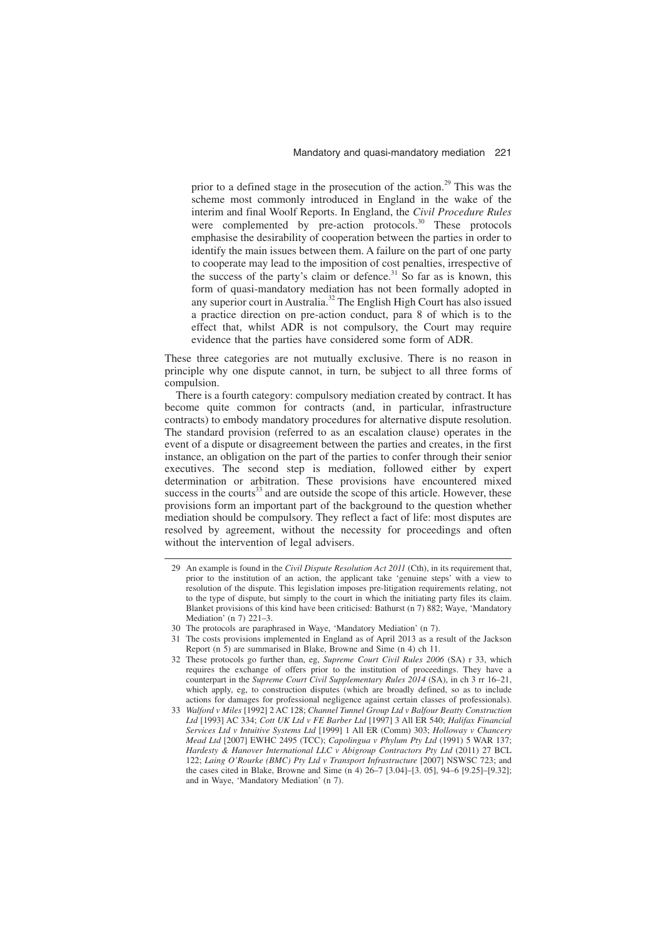prior to a defined stage in the prosecution of the action.<sup>29</sup> This was the scheme most commonly introduced in England in the wake of the interim and final Woolf Reports. In England, the *Civil Procedure Rules* were complemented by pre-action protocols.<sup>30</sup> These protocols emphasise the desirability of cooperation between the parties in order to identify the main issues between them. A failure on the part of one party to cooperate may lead to the imposition of cost penalties, irrespective of the success of the party's claim or defence.<sup>31</sup> So far as is known, this form of quasi-mandatory mediation has not been formally adopted in any superior court in Australia.<sup>32</sup> The English High Court has also issued a practice direction on pre-action conduct, para 8 of which is to the effect that, whilst ADR is not compulsory, the Court may require evidence that the parties have considered some form of ADR.

These three categories are not mutually exclusive. There is no reason in principle why one dispute cannot, in turn, be subject to all three forms of compulsion.

There is a fourth category: compulsory mediation created by contract. It has become quite common for contracts (and, in particular, infrastructure contracts) to embody mandatory procedures for alternative dispute resolution. The standard provision (referred to as an escalation clause) operates in the event of a dispute or disagreement between the parties and creates, in the first instance, an obligation on the part of the parties to confer through their senior executives. The second step is mediation, followed either by expert determination or arbitration. These provisions have encountered mixed success in the courts $33$  and are outside the scope of this article. However, these provisions form an important part of the background to the question whether mediation should be compulsory. They reflect a fact of life: most disputes are resolved by agreement, without the necessity for proceedings and often without the intervention of legal advisers.

31 The costs provisions implemented in England as of April 2013 as a result of the Jackson Report (n 5) are summarised in Blake, Browne and Sime (n 4) ch 11.

<sup>29</sup> An example is found in the *Civil Dispute Resolution Act 2011* (Cth), in its requirement that, prior to the institution of an action, the applicant take 'genuine steps' with a view to resolution of the dispute. This legislation imposes pre-litigation requirements relating, not to the type of dispute, but simply to the court in which the initiating party files its claim. Blanket provisions of this kind have been criticised: Bathurst (n 7) 882; Waye, 'Mandatory Mediation' (n 7) 221–3.

<sup>30</sup> The protocols are paraphrased in Waye, 'Mandatory Mediation' (n 7).

<sup>32</sup> These protocols go further than, eg, *Supreme Court Civil Rules 2006* (SA) r 33, which requires the exchange of offers prior to the institution of proceedings. They have a counterpart in the *Supreme Court Civil Supplementary Rules 2014* (SA), in ch 3 rr 16–21, which apply, eg, to construction disputes (which are broadly defined, so as to include actions for damages for professional negligence against certain classes of professionals).

<sup>33</sup> *Walford v Miles* [1992] 2 AC 128; *Channel Tunnel Group Ltd v Balfour Beatty Construction Ltd* [1993] AC 334; *Cott UK Ltd v FE Barber Ltd* [1997] 3 All ER 540; *Halifax Financial Services Ltd v Intuitive Systems Ltd* [1999] 1 All ER (Comm) 303; *Holloway v Chancery Mead Ltd* [2007] EWHC 2495 (TCC); *Capolingua v Phylum Pty Ltd* (1991) 5 WAR 137; *Hardesty & Hanover International LLC v Abigroup Contractors Pty Ltd* (2011) 27 BCL 122; *Laing O'Rourke (BMC) Pty Ltd v Transport Infrastructure* [2007] NSWSC 723; and the cases cited in Blake, Browne and Sime (n 4) 26–7 [3.04]–[3. 05], 94–6 [9.25]–[9.32]; and in Waye, 'Mandatory Mediation' (n 7).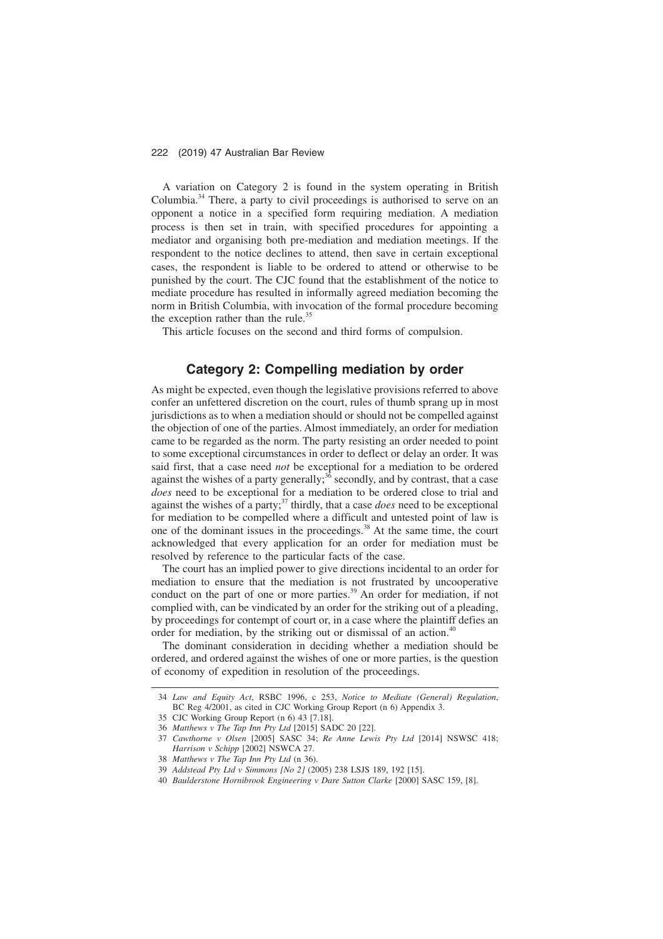A variation on Category 2 is found in the system operating in British Columbia.<sup>34</sup> There, a party to civil proceedings is authorised to serve on an opponent a notice in a specified form requiring mediation. A mediation process is then set in train, with specified procedures for appointing a mediator and organising both pre-mediation and mediation meetings. If the respondent to the notice declines to attend, then save in certain exceptional cases, the respondent is liable to be ordered to attend or otherwise to be punished by the court. The CJC found that the establishment of the notice to mediate procedure has resulted in informally agreed mediation becoming the norm in British Columbia, with invocation of the formal procedure becoming the exception rather than the rule.<sup>35</sup>

This article focuses on the second and third forms of compulsion.

# **Category 2: Compelling mediation by order**

As might be expected, even though the legislative provisions referred to above confer an unfettered discretion on the court, rules of thumb sprang up in most jurisdictions as to when a mediation should or should not be compelled against the objection of one of the parties. Almost immediately, an order for mediation came to be regarded as the norm. The party resisting an order needed to point to some exceptional circumstances in order to deflect or delay an order. It was said first, that a case need *not* be exceptional for a mediation to be ordered against the wishes of a party generally; $36$  secondly, and by contrast, that a case *does* need to be exceptional for a mediation to be ordered close to trial and against the wishes of a party;<sup>37</sup> thirdly, that a case *does* need to be exceptional for mediation to be compelled where a difficult and untested point of law is one of the dominant issues in the proceedings.<sup>38</sup> At the same time, the court acknowledged that every application for an order for mediation must be resolved by reference to the particular facts of the case.

The court has an implied power to give directions incidental to an order for mediation to ensure that the mediation is not frustrated by uncooperative conduct on the part of one or more parties.<sup>39</sup> An order for mediation, if not complied with, can be vindicated by an order for the striking out of a pleading, by proceedings for contempt of court or, in a case where the plaintiff defies an order for mediation, by the striking out or dismissal of an action.<sup>40</sup>

The dominant consideration in deciding whether a mediation should be ordered, and ordered against the wishes of one or more parties, is the question of economy of expedition in resolution of the proceedings.

<sup>34</sup> *Law and Equity Act*, RSBC 1996, c 253, *Notice to Mediate (General) Regulation*, BC Reg 4/2001, as cited in CJC Working Group Report (n 6) Appendix 3.

<sup>35</sup> CJC Working Group Report (n 6) 43 [7.18].

<sup>36</sup> *Matthews v The Tap Inn Pty Ltd* [2015] SADC 20 [22].

<sup>37</sup> *Cawthorne v Olsen* [2005] SASC 34; *Re Anne Lewis Pty Ltd* [2014] NSWSC 418; *Harrison v Schipp* [2002] NSWCA 27.

<sup>38</sup> *Matthews v The Tap Inn Pty Ltd* (n 36).

<sup>39</sup> *Addstead Pty Ltd v Simmons [No 2]* (2005) 238 LSJS 189, 192 [15].

<sup>40</sup> *Baulderstone Hornibrook Engineering v Dare Sutton Clarke* [2000] SASC 159, [8].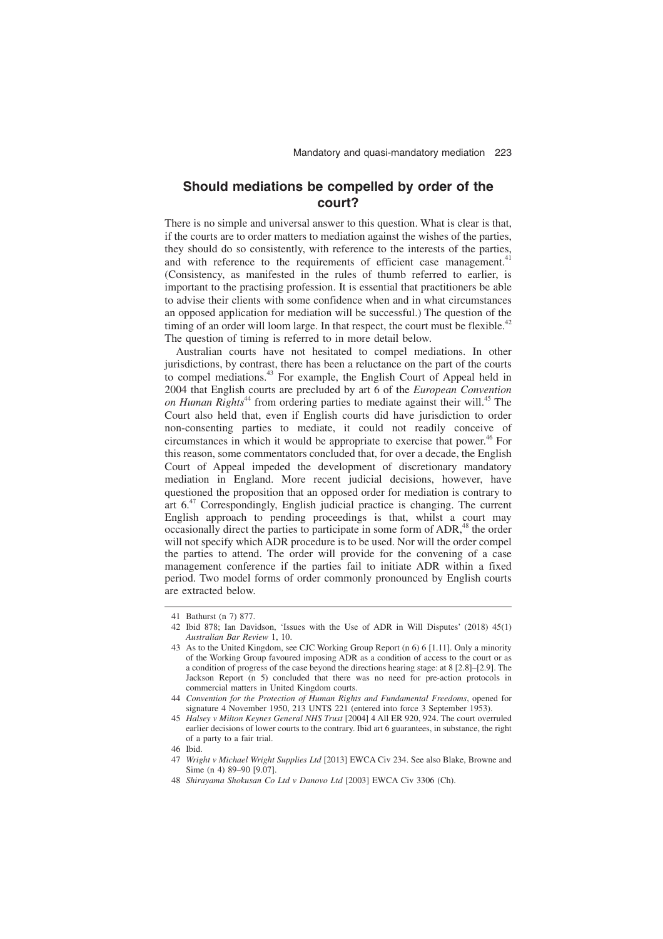# **Should mediations be compelled by order of the court?**

There is no simple and universal answer to this question. What is clear is that, if the courts are to order matters to mediation against the wishes of the parties, they should do so consistently, with reference to the interests of the parties, and with reference to the requirements of efficient case management.<sup>41</sup> (Consistency, as manifested in the rules of thumb referred to earlier, is important to the practising profession. It is essential that practitioners be able to advise their clients with some confidence when and in what circumstances an opposed application for mediation will be successful.) The question of the timing of an order will loom large. In that respect, the court must be flexible.<sup>42</sup> The question of timing is referred to in more detail below.

Australian courts have not hesitated to compel mediations. In other jurisdictions, by contrast, there has been a reluctance on the part of the courts to compel mediations.<sup>43</sup> For example, the English Court of Appeal held in 2004 that English courts are precluded by art 6 of the *European Convention on Human Rights*<sup>44</sup> from ordering parties to mediate against their will.<sup>45</sup> The Court also held that, even if English courts did have jurisdiction to order non-consenting parties to mediate, it could not readily conceive of circumstances in which it would be appropriate to exercise that power.<sup>46</sup> For this reason, some commentators concluded that, for over a decade, the English Court of Appeal impeded the development of discretionary mandatory mediation in England. More recent judicial decisions, however, have questioned the proposition that an opposed order for mediation is contrary to art  $6<sup>47</sup>$  Correspondingly. English judicial practice is changing. The current English approach to pending proceedings is that, whilst a court may occasionally direct the parties to participate in some form of ADR,<sup>48</sup> the order will not specify which ADR procedure is to be used. Nor will the order compel the parties to attend. The order will provide for the convening of a case management conference if the parties fail to initiate ADR within a fixed period. Two model forms of order commonly pronounced by English courts are extracted below.

<sup>41</sup> Bathurst (n 7) 877.

<sup>42</sup> Ibid 878; Ian Davidson, 'Issues with the Use of ADR in Will Disputes' (2018) 45(1) *Australian Bar Review* 1, 10.

<sup>43</sup> As to the United Kingdom, see CJC Working Group Report (n 6) 6 [1.11]. Only a minority of the Working Group favoured imposing ADR as a condition of access to the court or as a condition of progress of the case beyond the directions hearing stage: at 8 [2.8]–[2.9]. The Jackson Report (n 5) concluded that there was no need for pre-action protocols in commercial matters in United Kingdom courts.

<sup>44</sup> *Convention for the Protection of Human Rights and Fundamental Freedoms*, opened for signature 4 November 1950, 213 UNTS 221 (entered into force 3 September 1953).

<sup>45</sup> *Halsey v Milton Keynes General NHS Trust* [2004] 4 All ER 920, 924. The court overruled earlier decisions of lower courts to the contrary. Ibid art 6 guarantees, in substance, the right of a party to a fair trial.

<sup>46</sup> Ibid.

<sup>47</sup> *Wright v Michael Wright Supplies Ltd* [2013] EWCA Civ 234. See also Blake, Browne and Sime (n 4) 89-90 [9.07].

<sup>48</sup> *Shirayama Shokusan Co Ltd v Danovo Ltd* [2003] EWCA Civ 3306 (Ch).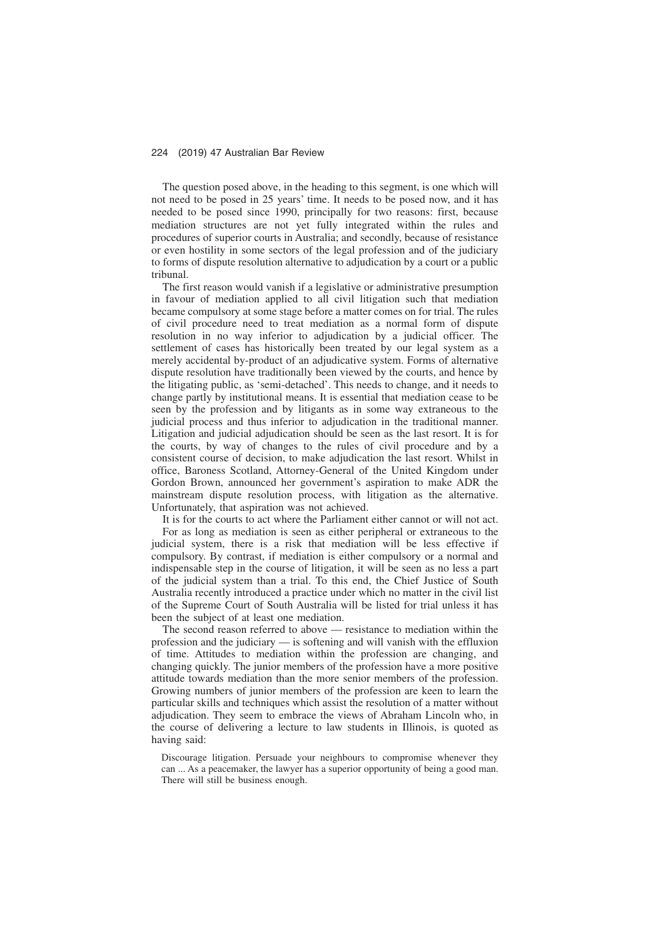The question posed above, in the heading to this segment, is one which will not need to be posed in 25 years' time. It needs to be posed now, and it has needed to be posed since 1990, principally for two reasons: first, because mediation structures are not yet fully integrated within the rules and procedures of superior courts in Australia; and secondly, because of resistance or even hostility in some sectors of the legal profession and of the judiciary to forms of dispute resolution alternative to adjudication by a court or a public tribunal.

The first reason would vanish if a legislative or administrative presumption in favour of mediation applied to all civil litigation such that mediation became compulsory at some stage before a matter comes on for trial. The rules of civil procedure need to treat mediation as a normal form of dispute resolution in no way inferior to adjudication by a judicial officer. The settlement of cases has historically been treated by our legal system as a merely accidental by-product of an adjudicative system. Forms of alternative dispute resolution have traditionally been viewed by the courts, and hence by the litigating public, as 'semi-detached'. This needs to change, and it needs to change partly by institutional means. It is essential that mediation cease to be seen by the profession and by litigants as in some way extraneous to the judicial process and thus inferior to adjudication in the traditional manner. Litigation and judicial adjudication should be seen as the last resort. It is for the courts, by way of changes to the rules of civil procedure and by a consistent course of decision, to make adjudication the last resort. Whilst in office, Baroness Scotland, Attorney-General of the United Kingdom under Gordon Brown, announced her government's aspiration to make ADR the mainstream dispute resolution process, with litigation as the alternative. Unfortunately, that aspiration was not achieved.

It is for the courts to act where the Parliament either cannot or will not act. For as long as mediation is seen as either peripheral or extraneous to the judicial system, there is a risk that mediation will be less effective if compulsory. By contrast, if mediation is either compulsory or a normal and indispensable step in the course of litigation, it will be seen as no less a part of the judicial system than a trial. To this end, the Chief Justice of South Australia recently introduced a practice under which no matter in the civil list of the Supreme Court of South Australia will be listed for trial unless it has been the subject of at least one mediation.

The second reason referred to above — resistance to mediation within the profession and the judiciary — is softening and will vanish with the effluxion of time. Attitudes to mediation within the profession are changing, and changing quickly. The junior members of the profession have a more positive attitude towards mediation than the more senior members of the profession. Growing numbers of junior members of the profession are keen to learn the particular skills and techniques which assist the resolution of a matter without adjudication. They seem to embrace the views of Abraham Lincoln who, in the course of delivering a lecture to law students in Illinois, is quoted as having said:

Discourage litigation. Persuade your neighbours to compromise whenever they can ... As a peacemaker, the lawyer has a superior opportunity of being a good man. There will still be business enough.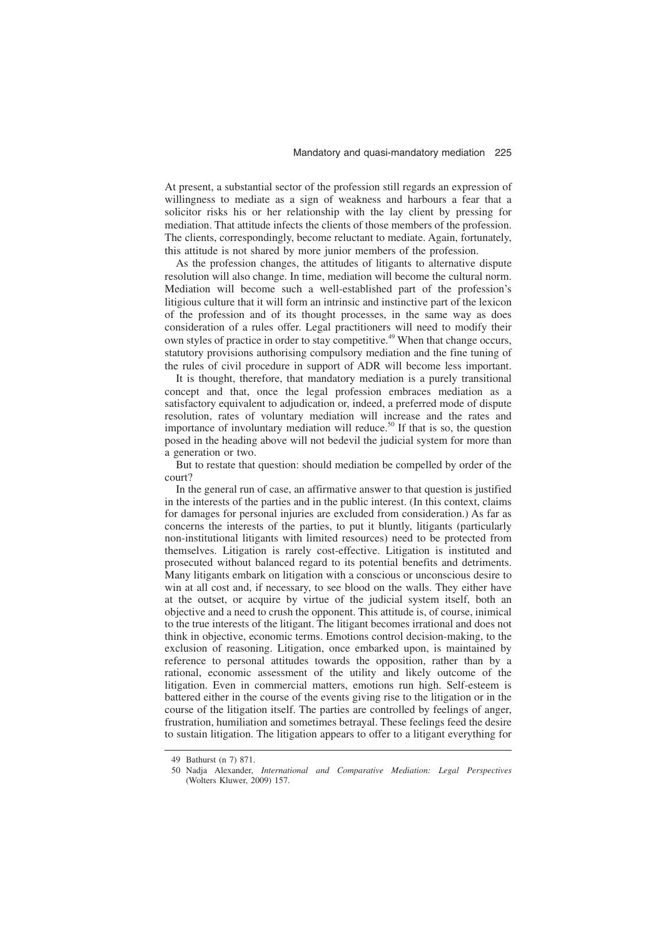At present, a substantial sector of the profession still regards an expression of willingness to mediate as a sign of weakness and harbours a fear that a solicitor risks his or her relationship with the lay client by pressing for mediation. That attitude infects the clients of those members of the profession. The clients, correspondingly, become reluctant to mediate. Again, fortunately, this attitude is not shared by more junior members of the profession.

As the profession changes, the attitudes of litigants to alternative dispute resolution will also change. In time, mediation will become the cultural norm. Mediation will become such a well-established part of the profession's litigious culture that it will form an intrinsic and instinctive part of the lexicon of the profession and of its thought processes, in the same way as does consideration of a rules offer. Legal practitioners will need to modify their own styles of practice in order to stay competitive.49 When that change occurs, statutory provisions authorising compulsory mediation and the fine tuning of the rules of civil procedure in support of ADR will become less important.

It is thought, therefore, that mandatory mediation is a purely transitional concept and that, once the legal profession embraces mediation as a satisfactory equivalent to adjudication or, indeed, a preferred mode of dispute resolution, rates of voluntary mediation will increase and the rates and importance of involuntary mediation will reduce.<sup>50</sup> If that is so, the question posed in the heading above will not bedevil the judicial system for more than a generation or two.

But to restate that question: should mediation be compelled by order of the court?

In the general run of case, an affirmative answer to that question is justified in the interests of the parties and in the public interest. (In this context, claims for damages for personal injuries are excluded from consideration.) As far as concerns the interests of the parties, to put it bluntly, litigants (particularly non-institutional litigants with limited resources) need to be protected from themselves. Litigation is rarely cost-effective. Litigation is instituted and prosecuted without balanced regard to its potential benefits and detriments. Many litigants embark on litigation with a conscious or unconscious desire to win at all cost and, if necessary, to see blood on the walls. They either have at the outset, or acquire by virtue of the judicial system itself, both an objective and a need to crush the opponent. This attitude is, of course, inimical to the true interests of the litigant. The litigant becomes irrational and does not think in objective, economic terms. Emotions control decision-making, to the exclusion of reasoning. Litigation, once embarked upon, is maintained by reference to personal attitudes towards the opposition, rather than by a rational, economic assessment of the utility and likely outcome of the litigation. Even in commercial matters, emotions run high. Self-esteem is battered either in the course of the events giving rise to the litigation or in the course of the litigation itself. The parties are controlled by feelings of anger, frustration, humiliation and sometimes betrayal. These feelings feed the desire to sustain litigation. The litigation appears to offer to a litigant everything for

<sup>49</sup> Bathurst (n 7) 871.

<sup>50</sup> Nadja Alexander, *International and Comparative Mediation: Legal Perspectives* (Wolters Kluwer, 2009) 157.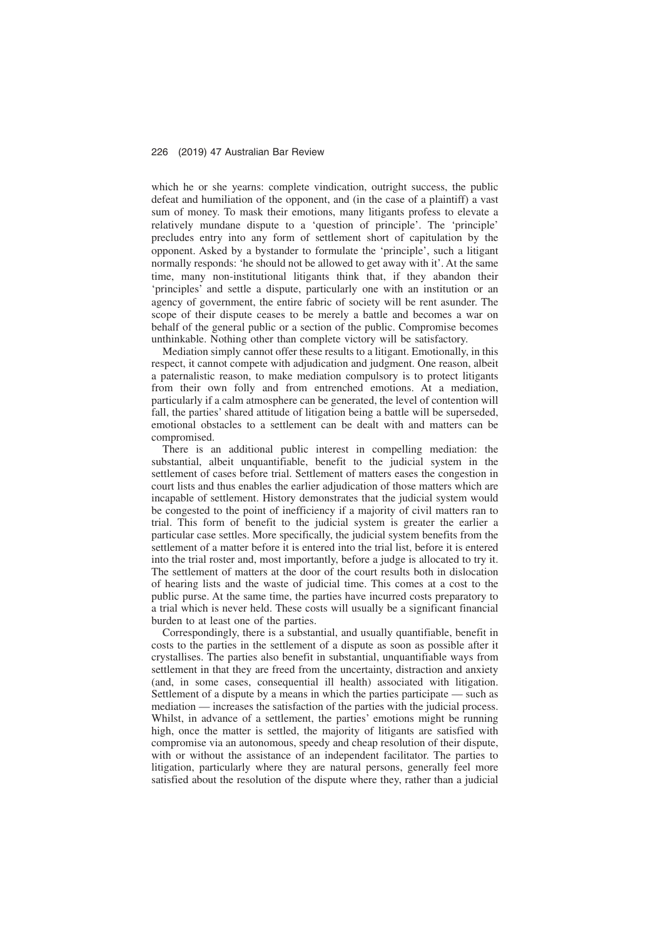which he or she yearns: complete vindication, outright success, the public defeat and humiliation of the opponent, and (in the case of a plaintiff) a vast sum of money. To mask their emotions, many litigants profess to elevate a relatively mundane dispute to a 'question of principle'. The 'principle' precludes entry into any form of settlement short of capitulation by the opponent. Asked by a bystander to formulate the 'principle', such a litigant normally responds: 'he should not be allowed to get away with it'. At the same time, many non-institutional litigants think that, if they abandon their 'principles' and settle a dispute, particularly one with an institution or an agency of government, the entire fabric of society will be rent asunder. The scope of their dispute ceases to be merely a battle and becomes a war on behalf of the general public or a section of the public. Compromise becomes unthinkable. Nothing other than complete victory will be satisfactory.

Mediation simply cannot offer these results to a litigant. Emotionally, in this respect, it cannot compete with adjudication and judgment. One reason, albeit a paternalistic reason, to make mediation compulsory is to protect litigants from their own folly and from entrenched emotions. At a mediation, particularly if a calm atmosphere can be generated, the level of contention will fall, the parties' shared attitude of litigation being a battle will be superseded, emotional obstacles to a settlement can be dealt with and matters can be compromised.

There is an additional public interest in compelling mediation: the substantial, albeit unquantifiable, benefit to the judicial system in the settlement of cases before trial. Settlement of matters eases the congestion in court lists and thus enables the earlier adjudication of those matters which are incapable of settlement. History demonstrates that the judicial system would be congested to the point of inefficiency if a majority of civil matters ran to trial. This form of benefit to the judicial system is greater the earlier a particular case settles. More specifically, the judicial system benefits from the settlement of a matter before it is entered into the trial list, before it is entered into the trial roster and, most importantly, before a judge is allocated to try it. The settlement of matters at the door of the court results both in dislocation of hearing lists and the waste of judicial time. This comes at a cost to the public purse. At the same time, the parties have incurred costs preparatory to a trial which is never held. These costs will usually be a significant financial burden to at least one of the parties.

Correspondingly, there is a substantial, and usually quantifiable, benefit in costs to the parties in the settlement of a dispute as soon as possible after it crystallises. The parties also benefit in substantial, unquantifiable ways from settlement in that they are freed from the uncertainty, distraction and anxiety (and, in some cases, consequential ill health) associated with litigation. Settlement of a dispute by a means in which the parties participate — such as mediation — increases the satisfaction of the parties with the judicial process. Whilst, in advance of a settlement, the parties' emotions might be running high, once the matter is settled, the majority of litigants are satisfied with compromise via an autonomous, speedy and cheap resolution of their dispute, with or without the assistance of an independent facilitator. The parties to litigation, particularly where they are natural persons, generally feel more satisfied about the resolution of the dispute where they, rather than a judicial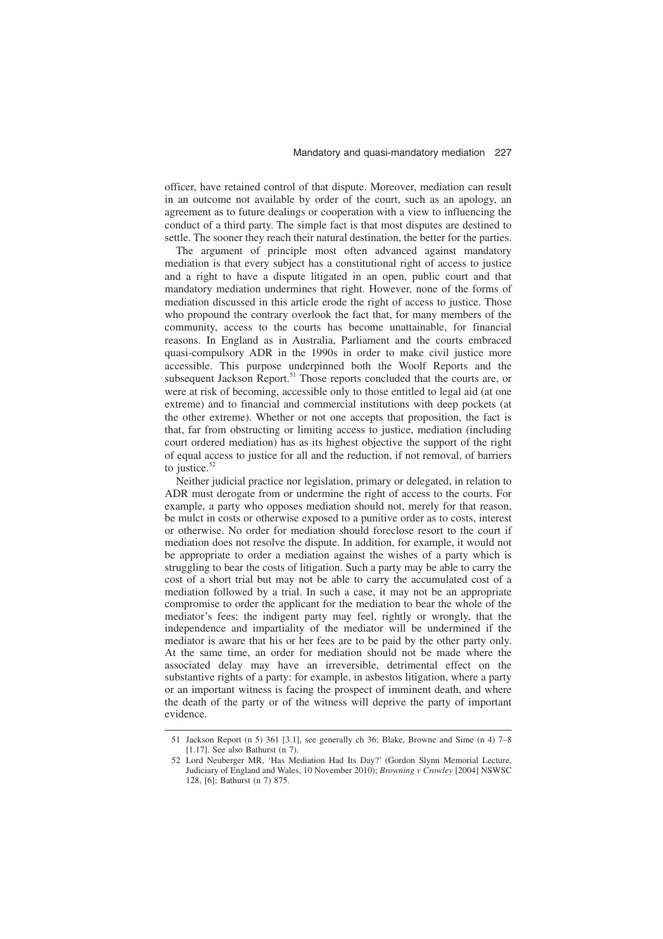officer, have retained control of that dispute. Moreover, mediation can result in an outcome not available by order of the court, such as an apology, an agreement as to future dealings or cooperation with a view to influencing the conduct of a third party. The simple fact is that most disputes are destined to settle. The sooner they reach their natural destination, the better for the parties.

The argument of principle most often advanced against mandatory mediation is that every subject has a constitutional right of access to justice and a right to have a dispute litigated in an open, public court and that mandatory mediation undermines that right. However, none of the forms of mediation discussed in this article erode the right of access to justice. Those who propound the contrary overlook the fact that, for many members of the community, access to the courts has become unattainable, for financial reasons. In England as in Australia, Parliament and the courts embraced quasi-compulsory ADR in the 1990s in order to make civil justice more accessible. This purpose underpinned both the Woolf Reports and the subsequent Jackson Report.<sup>51</sup> Those reports concluded that the courts are, or were at risk of becoming, accessible only to those entitled to legal aid (at one extreme) and to financial and commercial institutions with deep pockets (at the other extreme). Whether or not one accepts that proposition, the fact is that, far from obstructing or limiting access to justice, mediation (including court ordered mediation) has as its highest objective the support of the right of equal access to justice for all and the reduction, if not removal, of barriers to justice. $52$ 

Neither judicial practice nor legislation, primary or delegated, in relation to ADR must derogate from or undermine the right of access to the courts. For example, a party who opposes mediation should not, merely for that reason, be mulct in costs or otherwise exposed to a punitive order as to costs, interest or otherwise. No order for mediation should foreclose resort to the court if mediation does not resolve the dispute. In addition, for example, it would not be appropriate to order a mediation against the wishes of a party which is struggling to bear the costs of litigation. Such a party may be able to carry the cost of a short trial but may not be able to carry the accumulated cost of a mediation followed by a trial. In such a case, it may not be an appropriate compromise to order the applicant for the mediation to bear the whole of the mediator's fees: the indigent party may feel, rightly or wrongly, that the independence and impartiality of the mediator will be undermined if the mediator is aware that his or her fees are to be paid by the other party only. At the same time, an order for mediation should not be made where the associated delay may have an irreversible, detrimental effect on the substantive rights of a party: for example, in asbestos litigation, where a party or an important witness is facing the prospect of imminent death, and where the death of the party or of the witness will deprive the party of important evidence.

<sup>51</sup> Jackson Report (n 5) 361 [3.1], see generally ch 36; Blake, Browne and Sime (n 4) 7–8 [1.17]. See also Bathurst (n 7).

<sup>52</sup> Lord Neuberger MR, 'Has Mediation Had Its Day?' (Gordon Slynn Memorial Lecture, Judiciary of England and Wales, 10 November 2010); *Browning v Crowley* [2004] NSWSC 128, [6]; Bathurst (n 7) 875.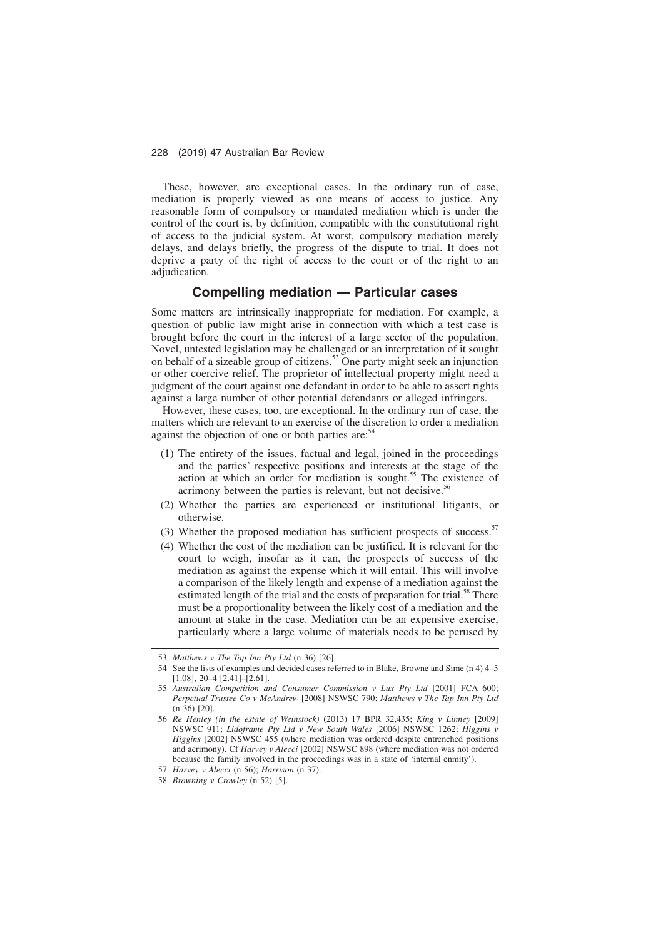These, however, are exceptional cases. In the ordinary run of case, mediation is properly viewed as one means of access to justice. Any reasonable form of compulsory or mandated mediation which is under the control of the court is, by definition, compatible with the constitutional right of access to the judicial system. At worst, compulsory mediation merely delays, and delays briefly, the progress of the dispute to trial. It does not deprive a party of the right of access to the court or of the right to an adjudication.

## **Compelling mediation — Particular cases**

Some matters are intrinsically inappropriate for mediation. For example, a question of public law might arise in connection with which a test case is brought before the court in the interest of a large sector of the population. Novel, untested legislation may be challenged or an interpretation of it sought on behalf of a sizeable group of citizens.53 One party might seek an injunction or other coercive relief. The proprietor of intellectual property might need a judgment of the court against one defendant in order to be able to assert rights against a large number of other potential defendants or alleged infringers.

However, these cases, too, are exceptional. In the ordinary run of case, the matters which are relevant to an exercise of the discretion to order a mediation against the objection of one or both parties are: $54$ 

- (1) The entirety of the issues, factual and legal, joined in the proceedings and the parties' respective positions and interests at the stage of the action at which an order for mediation is sought.<sup>55</sup> The existence of acrimony between the parties is relevant, but not decisive.<sup>56</sup>
- (2) Whether the parties are experienced or institutional litigants, or otherwise.
- (3) Whether the proposed mediation has sufficient prospects of success.<sup>57</sup>
- (4) Whether the cost of the mediation can be justified. It is relevant for the court to weigh, insofar as it can, the prospects of success of the mediation as against the expense which it will entail. This will involve a comparison of the likely length and expense of a mediation against the estimated length of the trial and the costs of preparation for trial.<sup>58</sup> There must be a proportionality between the likely cost of a mediation and the amount at stake in the case. Mediation can be an expensive exercise, particularly where a large volume of materials needs to be perused by

<sup>53</sup> *Matthews v The Tap Inn Pty Ltd* (n 36) [26].

<sup>54</sup> See the lists of examples and decided cases referred to in Blake, Browne and Sime (n 4) 4–5 [1.08], 20–4 [2.41]–[2.61].

<sup>55</sup> *Australian Competition and Consumer Commission v Lux Pty Ltd* [2001] FCA 600; *Perpetual Trustee Co v McAndrew* [2008] NSWSC 790; *Matthews v The Tap Inn Pty Ltd* (n 36) [20].

<sup>56</sup> *Re Henley (in the estate of Weinstock)* (2013) 17 BPR 32,435; *King v Linney* [2009] NSWSC 911; *Lidoframe Pty Ltd v New South Wales* [2006] NSWSC 1262; *Higgins v Higgins* [2002] NSWSC 455 (where mediation was ordered despite entrenched positions and acrimony). Cf *Harvey v Alecci* [2002] NSWSC 898 (where mediation was not ordered because the family involved in the proceedings was in a state of 'internal enmity').

<sup>57</sup> *Harvey v Alecci* (n 56); *Harrison* (n 37).

<sup>58</sup> *Browning v Crowley* (n 52) [5].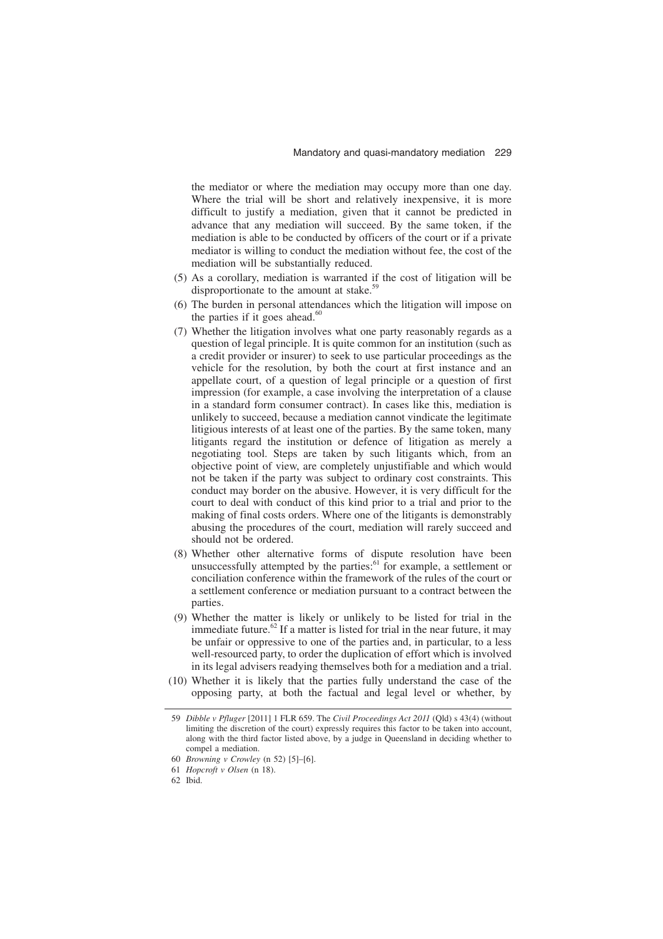the mediator or where the mediation may occupy more than one day. Where the trial will be short and relatively inexpensive, it is more difficult to justify a mediation, given that it cannot be predicted in advance that any mediation will succeed. By the same token, if the mediation is able to be conducted by officers of the court or if a private mediator is willing to conduct the mediation without fee, the cost of the mediation will be substantially reduced.

- (5) As a corollary, mediation is warranted if the cost of litigation will be disproportionate to the amount at stake.<sup>59</sup>
- (6) The burden in personal attendances which the litigation will impose on the parties if it goes ahead. $60$
- (7) Whether the litigation involves what one party reasonably regards as a question of legal principle. It is quite common for an institution (such as a credit provider or insurer) to seek to use particular proceedings as the vehicle for the resolution, by both the court at first instance and an appellate court, of a question of legal principle or a question of first impression (for example, a case involving the interpretation of a clause in a standard form consumer contract). In cases like this, mediation is unlikely to succeed, because a mediation cannot vindicate the legitimate litigious interests of at least one of the parties. By the same token, many litigants regard the institution or defence of litigation as merely a negotiating tool. Steps are taken by such litigants which, from an objective point of view, are completely unjustifiable and which would not be taken if the party was subject to ordinary cost constraints. This conduct may border on the abusive. However, it is very difficult for the court to deal with conduct of this kind prior to a trial and prior to the making of final costs orders. Where one of the litigants is demonstrably abusing the procedures of the court, mediation will rarely succeed and should not be ordered.
- (8) Whether other alternative forms of dispute resolution have been unsuccessfully attempted by the parties: $61$  for example, a settlement or conciliation conference within the framework of the rules of the court or a settlement conference or mediation pursuant to a contract between the parties.
- (9) Whether the matter is likely or unlikely to be listed for trial in the immediate future.<sup>62</sup> If a matter is listed for trial in the near future, it may be unfair or oppressive to one of the parties and, in particular, to a less well-resourced party, to order the duplication of effort which is involved in its legal advisers readying themselves both for a mediation and a trial.
- (10) Whether it is likely that the parties fully understand the case of the opposing party, at both the factual and legal level or whether, by

<sup>59</sup> *Dibble v Pfluger* [2011] 1 FLR 659. The *Civil Proceedings Act 2011* (Qld) s 43(4) (without limiting the discretion of the court) expressly requires this factor to be taken into account, along with the third factor listed above, by a judge in Queensland in deciding whether to compel a mediation.

<sup>60</sup> *Browning v Crowley* (n 52) [5]–[6].

<sup>61</sup> *Hopcroft v Olsen* (n 18).

<sup>62</sup> Ibid.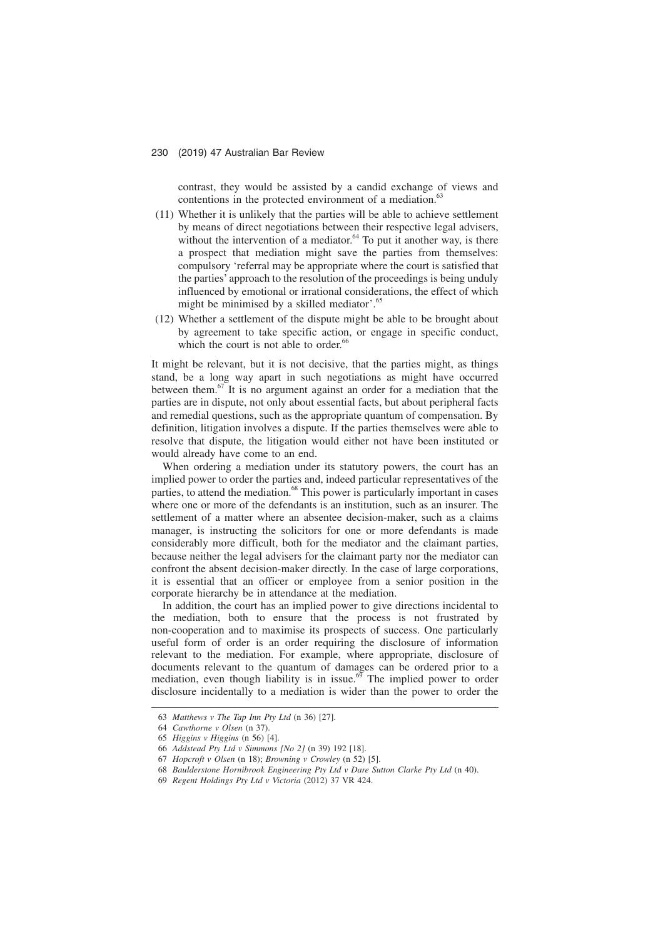contrast, they would be assisted by a candid exchange of views and contentions in the protected environment of a mediation.<sup>6</sup>

- (11) Whether it is unlikely that the parties will be able to achieve settlement by means of direct negotiations between their respective legal advisers, without the intervention of a mediator.<sup>64</sup> To put it another way, is there a prospect that mediation might save the parties from themselves: compulsory 'referral may be appropriate where the court is satisfied that the parties' approach to the resolution of the proceedings is being unduly influenced by emotional or irrational considerations, the effect of which might be minimised by a skilled mediator'.<sup>65</sup>
- (12) Whether a settlement of the dispute might be able to be brought about by agreement to take specific action, or engage in specific conduct, which the court is not able to order.<sup>66</sup>

It might be relevant, but it is not decisive, that the parties might, as things stand, be a long way apart in such negotiations as might have occurred between them.67 It is no argument against an order for a mediation that the parties are in dispute, not only about essential facts, but about peripheral facts and remedial questions, such as the appropriate quantum of compensation. By definition, litigation involves a dispute. If the parties themselves were able to resolve that dispute, the litigation would either not have been instituted or would already have come to an end.

When ordering a mediation under its statutory powers, the court has an implied power to order the parties and, indeed particular representatives of the parties, to attend the mediation.<sup>68</sup> This power is particularly important in cases where one or more of the defendants is an institution, such as an insurer. The settlement of a matter where an absentee decision-maker, such as a claims manager, is instructing the solicitors for one or more defendants is made considerably more difficult, both for the mediator and the claimant parties, because neither the legal advisers for the claimant party nor the mediator can confront the absent decision-maker directly. In the case of large corporations, it is essential that an officer or employee from a senior position in the corporate hierarchy be in attendance at the mediation.

In addition, the court has an implied power to give directions incidental to the mediation, both to ensure that the process is not frustrated by non-cooperation and to maximise its prospects of success. One particularly useful form of order is an order requiring the disclosure of information relevant to the mediation. For example, where appropriate, disclosure of documents relevant to the quantum of damages can be ordered prior to a mediation, even though liability is in issue.<sup> $6\sigma$ </sup> The implied power to order disclosure incidentally to a mediation is wider than the power to order the

<sup>63</sup> *Matthews v The Tap Inn Pty Ltd* (n 36) [27].

<sup>64</sup> *Cawthorne v Olsen* (n 37).

<sup>65</sup> *Higgins v Higgins* (n 56) [4].

<sup>66</sup> *Addstead Pty Ltd v Simmons [No 2]* (n 39) 192 [18].

<sup>67</sup> *Hopcroft v Olsen* (n 18); *Browning v Crowley* (n 52) [5].

<sup>68</sup> *Baulderstone Hornibrook Engineering Pty Ltd v Dare Sutton Clarke Pty Ltd* (n 40).

<sup>69</sup> *Regent Holdings Pty Ltd v Victoria* (2012) 37 VR 424.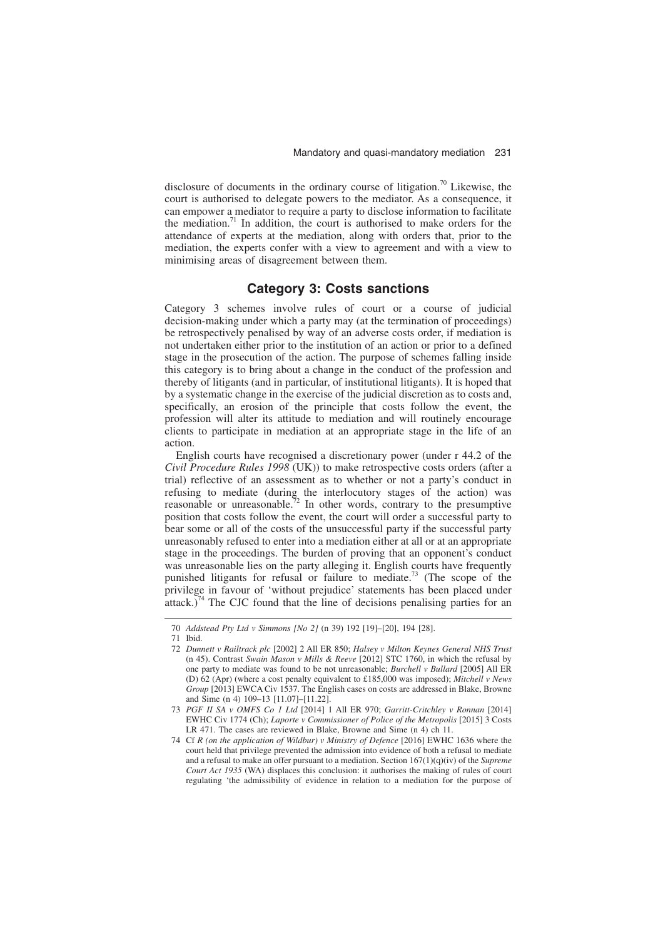disclosure of documents in the ordinary course of litigation.<sup>70</sup> Likewise, the court is authorised to delegate powers to the mediator. As a consequence, it can empower a mediator to require a party to disclose information to facilitate the mediation.<sup>71</sup> In addition, the court is authorised to make orders for the attendance of experts at the mediation, along with orders that, prior to the mediation, the experts confer with a view to agreement and with a view to minimising areas of disagreement between them.

## **Category 3: Costs sanctions**

Category 3 schemes involve rules of court or a course of judicial decision-making under which a party may (at the termination of proceedings) be retrospectively penalised by way of an adverse costs order, if mediation is not undertaken either prior to the institution of an action or prior to a defined stage in the prosecution of the action. The purpose of schemes falling inside this category is to bring about a change in the conduct of the profession and thereby of litigants (and in particular, of institutional litigants). It is hoped that by a systematic change in the exercise of the judicial discretion as to costs and, specifically, an erosion of the principle that costs follow the event, the profession will alter its attitude to mediation and will routinely encourage clients to participate in mediation at an appropriate stage in the life of an action.

English courts have recognised a discretionary power (under r 44.2 of the *Civil Procedure Rules 1998* (UK)) to make retrospective costs orders (after a trial) reflective of an assessment as to whether or not a party's conduct in refusing to mediate (during the interlocutory stages of the action) was reasonable or unreasonable.<sup>72</sup> In other words, contrary to the presumptive position that costs follow the event, the court will order a successful party to bear some or all of the costs of the unsuccessful party if the successful party unreasonably refused to enter into a mediation either at all or at an appropriate stage in the proceedings. The burden of proving that an opponent's conduct was unreasonable lies on the party alleging it. English courts have frequently punished litigants for refusal or failure to mediate.73 (The scope of the privilege in favour of 'without prejudice' statements has been placed under attack.)<sup>74</sup> The CJC found that the line of decisions penalising parties for an

<sup>70</sup> *Addstead Pty Ltd v Simmons [No 2]* (n 39) 192 [19]–[20], 194 [28].

<sup>71</sup> Ibid.

<sup>72</sup> *Dunnett v Railtrack plc* [2002] 2 All ER 850; *Halsey v Milton Keynes General NHS Trust* (n 45). Contrast *Swain Mason v Mills & Reeve* [2012] STC 1760, in which the refusal by one party to mediate was found to be not unreasonable; *Burchell v Bullard* [2005] All ER (D) 62 (Apr) (where a cost penalty equivalent to £185,000 was imposed); *Mitchell v News Group* [2013] EWCA Civ 1537. The English cases on costs are addressed in Blake, Browne and Sime (n 4) 109–13 [11.07]–[11.22].

<sup>73</sup> *PGF II SA v OMFS Co 1 Ltd* [2014] 1 All ER 970; *Garritt-Critchley v Ronnan* [2014] EWHC Civ 1774 (Ch); *Laporte v Commissioner of Police of the Metropolis* [2015] 3 Costs LR 471. The cases are reviewed in Blake, Browne and Sime (n 4) ch 11.

<sup>74</sup> Cf *R (on the application of Wildbur) v Ministry of Defence* [2016] EWHC 1636 where the court held that privilege prevented the admission into evidence of both a refusal to mediate and a refusal to make an offer pursuant to a mediation. Section 167(1)(q)(iv) of the *Supreme Court Act 1935* (WA) displaces this conclusion: it authorises the making of rules of court regulating 'the admissibility of evidence in relation to a mediation for the purpose of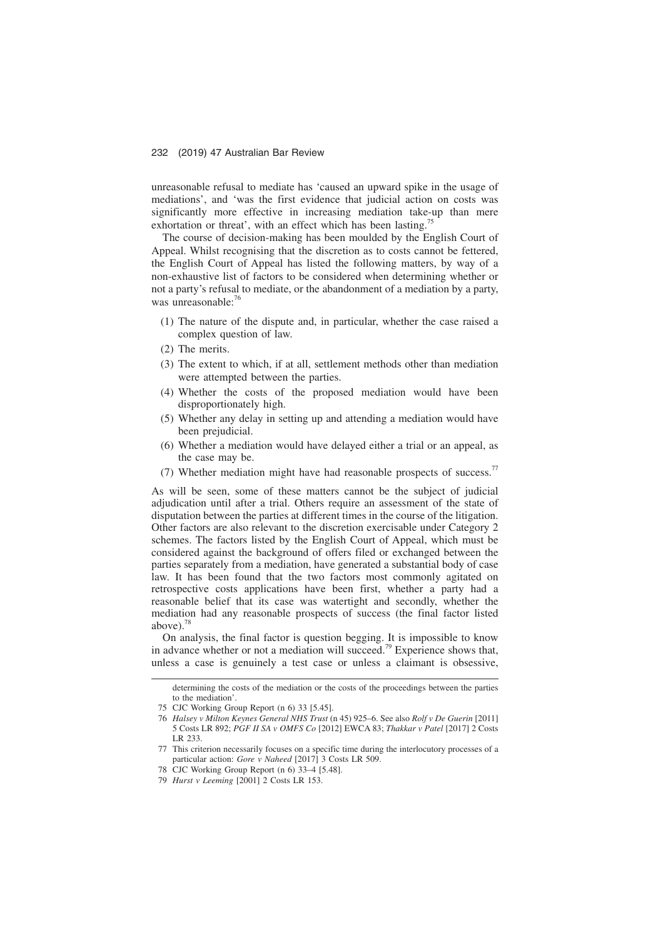unreasonable refusal to mediate has 'caused an upward spike in the usage of mediations', and 'was the first evidence that judicial action on costs was significantly more effective in increasing mediation take-up than mere exhortation or threat', with an effect which has been lasting.<sup>7</sup>

The course of decision-making has been moulded by the English Court of Appeal. Whilst recognising that the discretion as to costs cannot be fettered, the English Court of Appeal has listed the following matters, by way of a non-exhaustive list of factors to be considered when determining whether or not a party's refusal to mediate, or the abandonment of a mediation by a party, was unreasonable:<sup>76</sup>

- (1) The nature of the dispute and, in particular, whether the case raised a complex question of law.
- (2) The merits.
- (3) The extent to which, if at all, settlement methods other than mediation were attempted between the parties.
- (4) Whether the costs of the proposed mediation would have been disproportionately high.
- (5) Whether any delay in setting up and attending a mediation would have been prejudicial.
- (6) Whether a mediation would have delayed either a trial or an appeal, as the case may be.
- (7) Whether mediation might have had reasonable prospects of success.<sup>77</sup>

As will be seen, some of these matters cannot be the subject of judicial adjudication until after a trial. Others require an assessment of the state of disputation between the parties at different times in the course of the litigation. Other factors are also relevant to the discretion exercisable under Category 2 schemes. The factors listed by the English Court of Appeal, which must be considered against the background of offers filed or exchanged between the parties separately from a mediation, have generated a substantial body of case law. It has been found that the two factors most commonly agitated on retrospective costs applications have been first, whether a party had a reasonable belief that its case was watertight and secondly, whether the mediation had any reasonable prospects of success (the final factor listed above). $\frac{7}{3}$ 

On analysis, the final factor is question begging. It is impossible to know in advance whether or not a mediation will succeed.<sup>79</sup> Experience shows that, unless a case is genuinely a test case or unless a claimant is obsessive,

determining the costs of the mediation or the costs of the proceedings between the parties to the mediation'.

<sup>75</sup> CJC Working Group Report (n 6) 33 [5.45].

<sup>76</sup> *Halsey v Milton Keynes General NHS Trust* (n 45) 925–6. See also *Rolf v De Guerin* [2011] 5 Costs LR 892; *PGF II SA v OMFS Co* [2012] EWCA 83; *Thakkar v Patel* [2017] 2 Costs LR 233.

<sup>77</sup> This criterion necessarily focuses on a specific time during the interlocutory processes of a particular action: *Gore v Naheed* [2017] 3 Costs LR 509.

<sup>78</sup> CJC Working Group Report (n 6) 33–4 [5.48].

<sup>79</sup> *Hurst v Leeming* [2001] 2 Costs LR 153.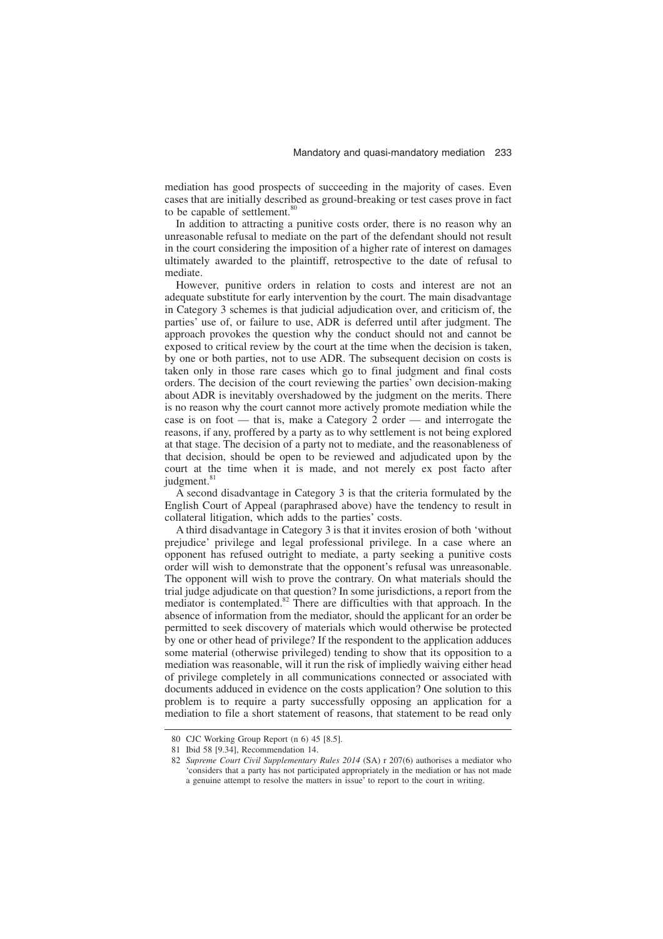mediation has good prospects of succeeding in the majority of cases. Even cases that are initially described as ground-breaking or test cases prove in fact to be capable of settlement.<sup>80</sup>

In addition to attracting a punitive costs order, there is no reason why an unreasonable refusal to mediate on the part of the defendant should not result in the court considering the imposition of a higher rate of interest on damages ultimately awarded to the plaintiff, retrospective to the date of refusal to mediate.

However, punitive orders in relation to costs and interest are not an adequate substitute for early intervention by the court. The main disadvantage in Category 3 schemes is that judicial adjudication over, and criticism of, the parties' use of, or failure to use, ADR is deferred until after judgment. The approach provokes the question why the conduct should not and cannot be exposed to critical review by the court at the time when the decision is taken, by one or both parties, not to use ADR. The subsequent decision on costs is taken only in those rare cases which go to final judgment and final costs orders. The decision of the court reviewing the parties' own decision-making about ADR is inevitably overshadowed by the judgment on the merits. There is no reason why the court cannot more actively promote mediation while the case is on foot — that is, make a Category  $\overrightarrow{2}$  order — and interrogate the reasons, if any, proffered by a party as to why settlement is not being explored at that stage. The decision of a party not to mediate, and the reasonableness of that decision, should be open to be reviewed and adjudicated upon by the court at the time when it is made, and not merely ex post facto after judgment.<sup>81</sup>

A second disadvantage in Category 3 is that the criteria formulated by the English Court of Appeal (paraphrased above) have the tendency to result in collateral litigation, which adds to the parties' costs.

A third disadvantage in Category 3 is that it invites erosion of both 'without prejudice' privilege and legal professional privilege. In a case where an opponent has refused outright to mediate, a party seeking a punitive costs order will wish to demonstrate that the opponent's refusal was unreasonable. The opponent will wish to prove the contrary. On what materials should the trial judge adjudicate on that question? In some jurisdictions, a report from the mediator is contemplated.<sup>82</sup> There are difficulties with that approach. In the absence of information from the mediator, should the applicant for an order be permitted to seek discovery of materials which would otherwise be protected by one or other head of privilege? If the respondent to the application adduces some material (otherwise privileged) tending to show that its opposition to a mediation was reasonable, will it run the risk of impliedly waiving either head of privilege completely in all communications connected or associated with documents adduced in evidence on the costs application? One solution to this problem is to require a party successfully opposing an application for a mediation to file a short statement of reasons, that statement to be read only

<sup>80</sup> CJC Working Group Report (n 6) 45 [8.5].

<sup>81</sup> Ibid 58 [9.34], Recommendation 14.

<sup>82</sup> *Supreme Court Civil Supplementary Rules 2014* (SA) r 207(6) authorises a mediator who 'considers that a party has not participated appropriately in the mediation or has not made a genuine attempt to resolve the matters in issue' to report to the court in writing.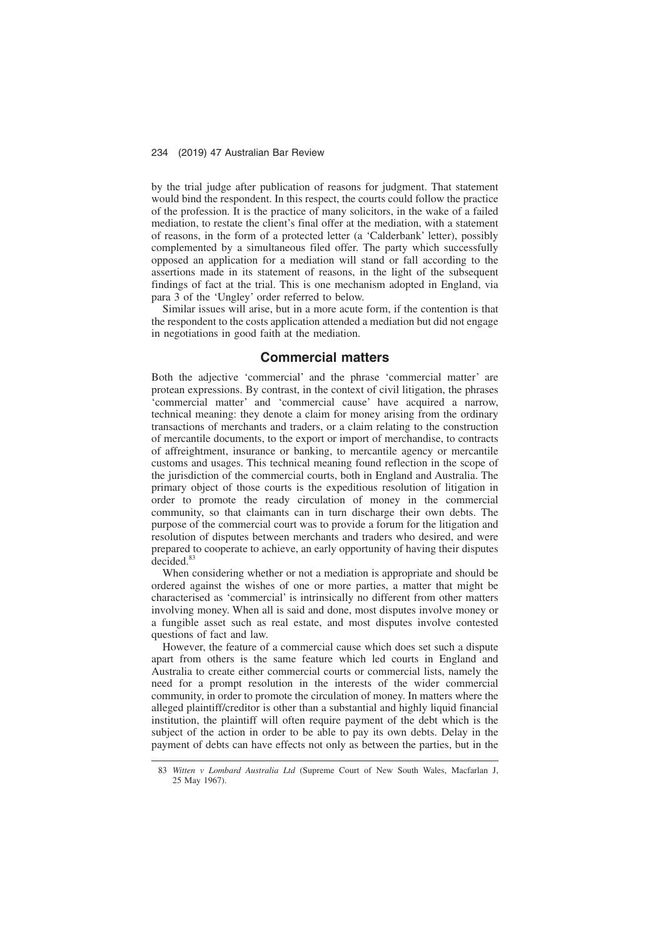by the trial judge after publication of reasons for judgment. That statement would bind the respondent. In this respect, the courts could follow the practice of the profession. It is the practice of many solicitors, in the wake of a failed mediation, to restate the client's final offer at the mediation, with a statement of reasons, in the form of a protected letter (a 'Calderbank' letter), possibly complemented by a simultaneous filed offer. The party which successfully opposed an application for a mediation will stand or fall according to the assertions made in its statement of reasons, in the light of the subsequent findings of fact at the trial. This is one mechanism adopted in England, via para 3 of the 'Ungley' order referred to below.

Similar issues will arise, but in a more acute form, if the contention is that the respondent to the costs application attended a mediation but did not engage in negotiations in good faith at the mediation.

## **Commercial matters**

Both the adjective 'commercial' and the phrase 'commercial matter' are protean expressions. By contrast, in the context of civil litigation, the phrases 'commercial matter' and 'commercial cause' have acquired a narrow, technical meaning: they denote a claim for money arising from the ordinary transactions of merchants and traders, or a claim relating to the construction of mercantile documents, to the export or import of merchandise, to contracts of affreightment, insurance or banking, to mercantile agency or mercantile customs and usages. This technical meaning found reflection in the scope of the jurisdiction of the commercial courts, both in England and Australia. The primary object of those courts is the expeditious resolution of litigation in order to promote the ready circulation of money in the commercial community, so that claimants can in turn discharge their own debts. The purpose of the commercial court was to provide a forum for the litigation and resolution of disputes between merchants and traders who desired, and were prepared to cooperate to achieve, an early opportunity of having their disputes decided.<sup>83</sup>

When considering whether or not a mediation is appropriate and should be ordered against the wishes of one or more parties, a matter that might be characterised as 'commercial' is intrinsically no different from other matters involving money. When all is said and done, most disputes involve money or a fungible asset such as real estate, and most disputes involve contested questions of fact and law.

However, the feature of a commercial cause which does set such a dispute apart from others is the same feature which led courts in England and Australia to create either commercial courts or commercial lists, namely the need for a prompt resolution in the interests of the wider commercial community, in order to promote the circulation of money. In matters where the alleged plaintiff/creditor is other than a substantial and highly liquid financial institution, the plaintiff will often require payment of the debt which is the subject of the action in order to be able to pay its own debts. Delay in the payment of debts can have effects not only as between the parties, but in the

<sup>83</sup> *Witten v Lombard Australia Ltd* (Supreme Court of New South Wales, Macfarlan J, 25 May 1967).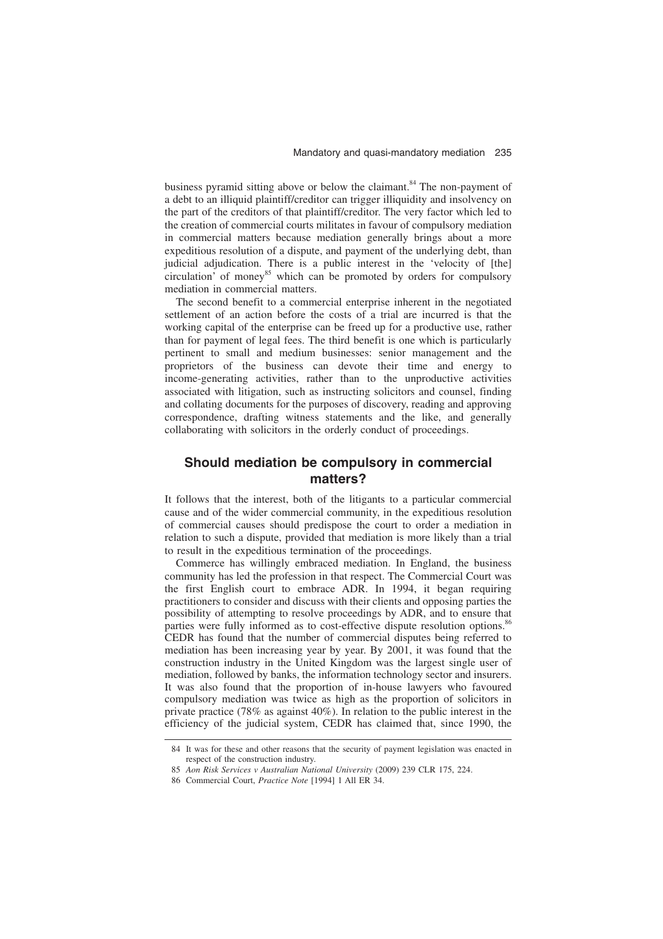business pyramid sitting above or below the claimant. $84$  The non-payment of a debt to an illiquid plaintiff/creditor can trigger illiquidity and insolvency on the part of the creditors of that plaintiff/creditor. The very factor which led to the creation of commercial courts militates in favour of compulsory mediation in commercial matters because mediation generally brings about a more expeditious resolution of a dispute, and payment of the underlying debt, than judicial adjudication. There is a public interest in the 'velocity of [the] circulation' of money<sup>85</sup> which can be promoted by orders for compulsory mediation in commercial matters.

The second benefit to a commercial enterprise inherent in the negotiated settlement of an action before the costs of a trial are incurred is that the working capital of the enterprise can be freed up for a productive use, rather than for payment of legal fees. The third benefit is one which is particularly pertinent to small and medium businesses: senior management and the proprietors of the business can devote their time and energy to income-generating activities, rather than to the unproductive activities associated with litigation, such as instructing solicitors and counsel, finding and collating documents for the purposes of discovery, reading and approving correspondence, drafting witness statements and the like, and generally collaborating with solicitors in the orderly conduct of proceedings.

# **Should mediation be compulsory in commercial matters?**

It follows that the interest, both of the litigants to a particular commercial cause and of the wider commercial community, in the expeditious resolution of commercial causes should predispose the court to order a mediation in relation to such a dispute, provided that mediation is more likely than a trial to result in the expeditious termination of the proceedings.

Commerce has willingly embraced mediation. In England, the business community has led the profession in that respect. The Commercial Court was the first English court to embrace ADR. In 1994, it began requiring practitioners to consider and discuss with their clients and opposing parties the possibility of attempting to resolve proceedings by ADR, and to ensure that parties were fully informed as to cost-effective dispute resolution options.<sup>86</sup> CEDR has found that the number of commercial disputes being referred to mediation has been increasing year by year. By 2001, it was found that the construction industry in the United Kingdom was the largest single user of mediation, followed by banks, the information technology sector and insurers. It was also found that the proportion of in-house lawyers who favoured compulsory mediation was twice as high as the proportion of solicitors in private practice (78% as against 40%). In relation to the public interest in the efficiency of the judicial system, CEDR has claimed that, since 1990, the

<sup>84</sup> It was for these and other reasons that the security of payment legislation was enacted in respect of the construction industry.

<sup>85</sup> *Aon Risk Services v Australian National University* (2009) 239 CLR 175, 224.

<sup>86</sup> Commercial Court, *Practice Note* [1994] 1 All ER 34.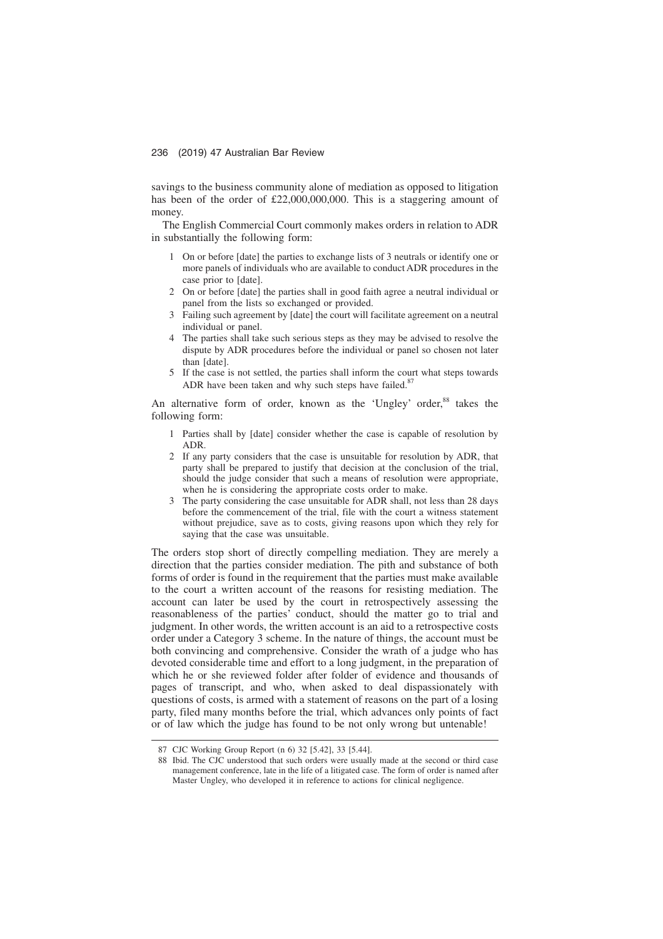savings to the business community alone of mediation as opposed to litigation has been of the order of £22,000,000,000. This is a staggering amount of money.

The English Commercial Court commonly makes orders in relation to ADR in substantially the following form:

- 1 On or before [date] the parties to exchange lists of 3 neutrals or identify one or more panels of individuals who are available to conduct ADR procedures in the case prior to [date].
- 2 On or before [date] the parties shall in good faith agree a neutral individual or panel from the lists so exchanged or provided.
- 3 Failing such agreement by [date] the court will facilitate agreement on a neutral individual or panel.
- 4 The parties shall take such serious steps as they may be advised to resolve the dispute by ADR procedures before the individual or panel so chosen not later than [date].
- 5 If the case is not settled, the parties shall inform the court what steps towards ADR have been taken and why such steps have failed. $8<sup>7</sup>$

An alternative form of order, known as the 'Ungley' order,<sup>88</sup> takes the following form:

- 1 Parties shall by [date] consider whether the case is capable of resolution by ADR.
- 2 If any party considers that the case is unsuitable for resolution by ADR, that party shall be prepared to justify that decision at the conclusion of the trial, should the judge consider that such a means of resolution were appropriate, when he is considering the appropriate costs order to make.
- 3 The party considering the case unsuitable for ADR shall, not less than 28 days before the commencement of the trial, file with the court a witness statement without prejudice, save as to costs, giving reasons upon which they rely for saying that the case was unsuitable.

The orders stop short of directly compelling mediation. They are merely a direction that the parties consider mediation. The pith and substance of both forms of order is found in the requirement that the parties must make available to the court a written account of the reasons for resisting mediation. The account can later be used by the court in retrospectively assessing the reasonableness of the parties' conduct, should the matter go to trial and judgment. In other words, the written account is an aid to a retrospective costs order under a Category 3 scheme. In the nature of things, the account must be both convincing and comprehensive. Consider the wrath of a judge who has devoted considerable time and effort to a long judgment, in the preparation of which he or she reviewed folder after folder of evidence and thousands of pages of transcript, and who, when asked to deal dispassionately with questions of costs, is armed with a statement of reasons on the part of a losing party, filed many months before the trial, which advances only points of fact or of law which the judge has found to be not only wrong but untenable!

<sup>87</sup> CJC Working Group Report (n 6) 32 [5.42], 33 [5.44].

<sup>88</sup> Ibid. The CJC understood that such orders were usually made at the second or third case management conference, late in the life of a litigated case. The form of order is named after Master Ungley, who developed it in reference to actions for clinical negligence.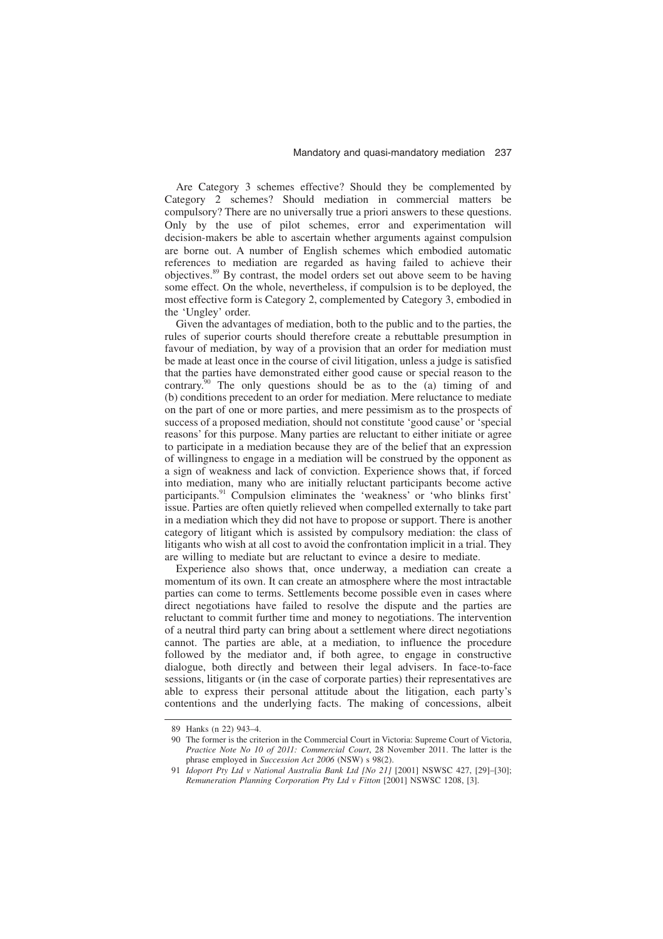Are Category 3 schemes effective? Should they be complemented by Category 2 schemes? Should mediation in commercial matters be compulsory? There are no universally true a priori answers to these questions. Only by the use of pilot schemes, error and experimentation will decision-makers be able to ascertain whether arguments against compulsion are borne out. A number of English schemes which embodied automatic references to mediation are regarded as having failed to achieve their objectives.89 By contrast, the model orders set out above seem to be having some effect. On the whole, nevertheless, if compulsion is to be deployed, the most effective form is Category 2, complemented by Category 3, embodied in the 'Ungley' order.

Given the advantages of mediation, both to the public and to the parties, the rules of superior courts should therefore create a rebuttable presumption in favour of mediation, by way of a provision that an order for mediation must be made at least once in the course of civil litigation, unless a judge is satisfied that the parties have demonstrated either good cause or special reason to the contrary.<sup>90</sup> The only questions should be as to the  $\overline{(a)}$  timing of and (b) conditions precedent to an order for mediation. Mere reluctance to mediate on the part of one or more parties, and mere pessimism as to the prospects of success of a proposed mediation, should not constitute 'good cause' or 'special reasons' for this purpose. Many parties are reluctant to either initiate or agree to participate in a mediation because they are of the belief that an expression of willingness to engage in a mediation will be construed by the opponent as a sign of weakness and lack of conviction. Experience shows that, if forced into mediation, many who are initially reluctant participants become active participants.<sup>91</sup> Compulsion eliminates the 'weakness' or 'who blinks first' issue. Parties are often quietly relieved when compelled externally to take part in a mediation which they did not have to propose or support. There is another category of litigant which is assisted by compulsory mediation: the class of litigants who wish at all cost to avoid the confrontation implicit in a trial. They are willing to mediate but are reluctant to evince a desire to mediate.

Experience also shows that, once underway, a mediation can create a momentum of its own. It can create an atmosphere where the most intractable parties can come to terms. Settlements become possible even in cases where direct negotiations have failed to resolve the dispute and the parties are reluctant to commit further time and money to negotiations. The intervention of a neutral third party can bring about a settlement where direct negotiations cannot. The parties are able, at a mediation, to influence the procedure followed by the mediator and, if both agree, to engage in constructive dialogue, both directly and between their legal advisers. In face-to-face sessions, litigants or (in the case of corporate parties) their representatives are able to express their personal attitude about the litigation, each party's contentions and the underlying facts. The making of concessions, albeit

<sup>89</sup> Hanks (n 22) 943–4.

<sup>90</sup> The former is the criterion in the Commercial Court in Victoria: Supreme Court of Victoria, *Practice Note No 10 of 2011: Commercial Court*, 28 November 2011. The latter is the phrase employed in *Succession Act 2006* (NSW) s 98(2).

<sup>91</sup> *Idoport Pty Ltd v National Australia Bank Ltd [No 21]* [2001] NSWSC 427, [29]–[30]; *Remuneration Planning Corporation Pty Ltd v Fitton* [2001] NSWSC 1208, [3].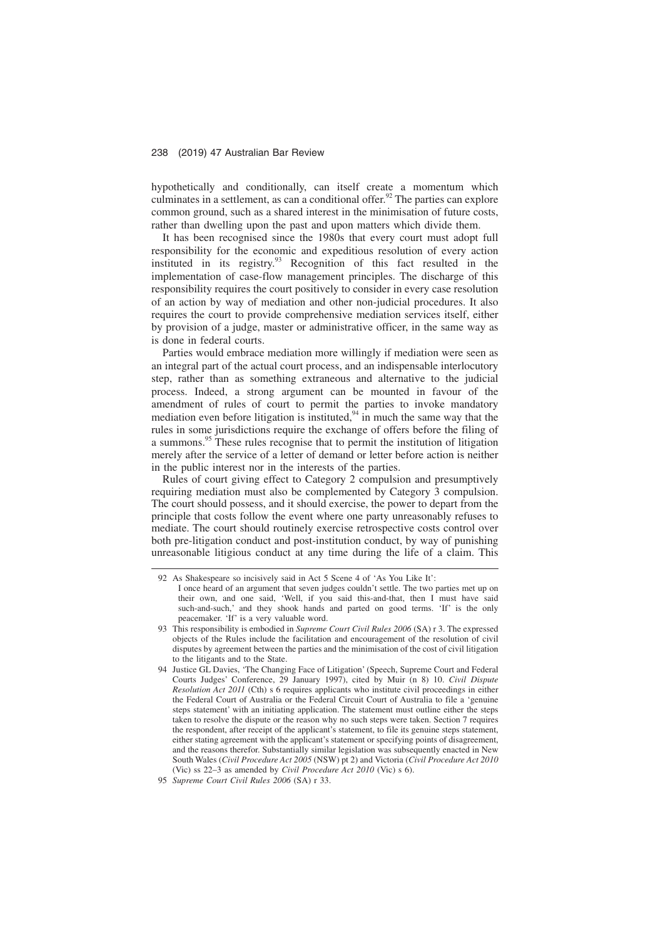hypothetically and conditionally, can itself create a momentum which culminates in a settlement, as can a conditional offer.<sup>92</sup> The parties can explore common ground, such as a shared interest in the minimisation of future costs, rather than dwelling upon the past and upon matters which divide them.

It has been recognised since the 1980s that every court must adopt full responsibility for the economic and expeditious resolution of every action instituted in its registry.<sup>93</sup> Recognition of this fact resulted in the implementation of case-flow management principles. The discharge of this responsibility requires the court positively to consider in every case resolution of an action by way of mediation and other non-judicial procedures. It also requires the court to provide comprehensive mediation services itself, either by provision of a judge, master or administrative officer, in the same way as is done in federal courts.

Parties would embrace mediation more willingly if mediation were seen as an integral part of the actual court process, and an indispensable interlocutory step, rather than as something extraneous and alternative to the judicial process. Indeed, a strong argument can be mounted in favour of the amendment of rules of court to permit the parties to invoke mandatory mediation even before litigation is instituted,  $94$  in much the same way that the rules in some jurisdictions require the exchange of offers before the filing of a summons.<sup>95</sup> These rules recognise that to permit the institution of litigation merely after the service of a letter of demand or letter before action is neither in the public interest nor in the interests of the parties.

Rules of court giving effect to Category 2 compulsion and presumptively requiring mediation must also be complemented by Category 3 compulsion. The court should possess, and it should exercise, the power to depart from the principle that costs follow the event where one party unreasonably refuses to mediate. The court should routinely exercise retrospective costs control over both pre-litigation conduct and post-institution conduct, by way of punishing unreasonable litigious conduct at any time during the life of a claim. This

<sup>92</sup> As Shakespeare so incisively said in Act 5 Scene 4 of 'As You Like It': I once heard of an argument that seven judges couldn't settle. The two parties met up on their own, and one said, 'Well, if you said this-and-that, then I must have said such-and-such,' and they shook hands and parted on good terms. 'If' is the only peacemaker. 'If' is a very valuable word.

<sup>93</sup> This responsibility is embodied in *Supreme Court Civil Rules 2006* (SA) r 3. The expressed objects of the Rules include the facilitation and encouragement of the resolution of civil disputes by agreement between the parties and the minimisation of the cost of civil litigation to the litigants and to the State.

<sup>94</sup> Justice GL Davies, 'The Changing Face of Litigation' (Speech, Supreme Court and Federal Courts Judges' Conference, 29 January 1997), cited by Muir (n 8) 10. *Civil Dispute Resolution Act 2011* (Cth) s 6 requires applicants who institute civil proceedings in either the Federal Court of Australia or the Federal Circuit Court of Australia to file a 'genuine steps statement' with an initiating application. The statement must outline either the steps taken to resolve the dispute or the reason why no such steps were taken. Section 7 requires the respondent, after receipt of the applicant's statement, to file its genuine steps statement, either stating agreement with the applicant's statement or specifying points of disagreement, and the reasons therefor. Substantially similar legislation was subsequently enacted in New South Wales (*Civil Procedure Act 2005* (NSW) pt 2) and Victoria (*Civil Procedure Act 2010* (Vic) ss 22–3 as amended by *Civil Procedure Act 2010* (Vic) s 6).

<sup>95</sup> *Supreme Court Civil Rules 2006* (SA) r 33.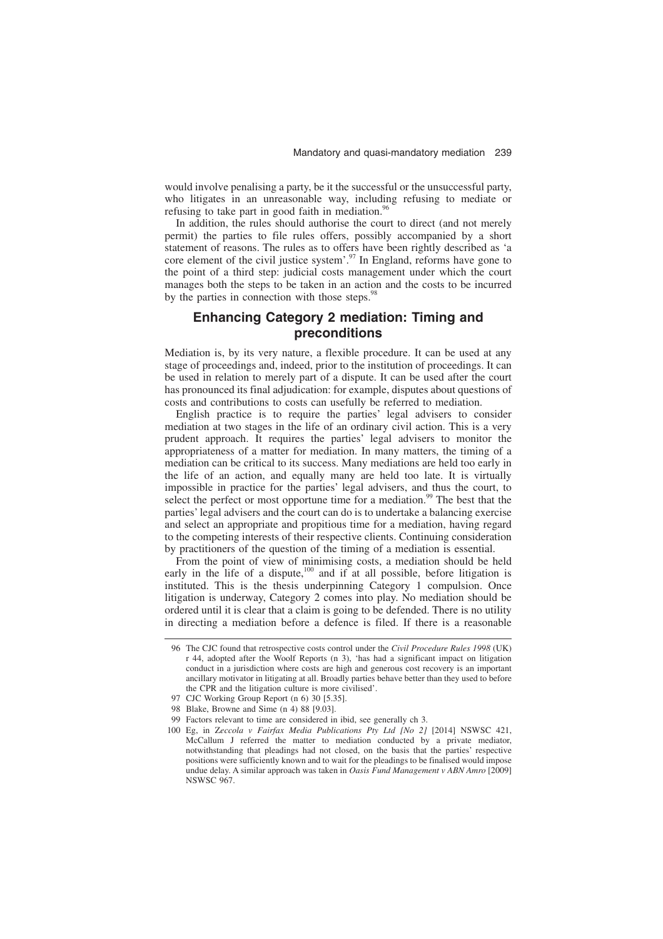would involve penalising a party, be it the successful or the unsuccessful party, who litigates in an unreasonable way, including refusing to mediate or refusing to take part in good faith in mediation. $96$ 

In addition, the rules should authorise the court to direct (and not merely permit) the parties to file rules offers, possibly accompanied by a short statement of reasons. The rules as to offers have been rightly described as 'a core element of the civil justice system'.<sup>97</sup> In England, reforms have gone to the point of a third step: judicial costs management under which the court manages both the steps to be taken in an action and the costs to be incurred by the parties in connection with those steps.<sup>98</sup>

# **Enhancing Category 2 mediation: Timing and preconditions**

Mediation is, by its very nature, a flexible procedure. It can be used at any stage of proceedings and, indeed, prior to the institution of proceedings. It can be used in relation to merely part of a dispute. It can be used after the court has pronounced its final adjudication: for example, disputes about questions of costs and contributions to costs can usefully be referred to mediation.

English practice is to require the parties' legal advisers to consider mediation at two stages in the life of an ordinary civil action. This is a very prudent approach. It requires the parties' legal advisers to monitor the appropriateness of a matter for mediation. In many matters, the timing of a mediation can be critical to its success. Many mediations are held too early in the life of an action, and equally many are held too late. It is virtually impossible in practice for the parties' legal advisers, and thus the court, to select the perfect or most opportune time for a mediation.<sup>99</sup> The best that the parties' legal advisers and the court can do is to undertake a balancing exercise and select an appropriate and propitious time for a mediation, having regard to the competing interests of their respective clients. Continuing consideration by practitioners of the question of the timing of a mediation is essential.

From the point of view of minimising costs, a mediation should be held early in the life of a dispute, $100$  and if at all possible, before litigation is instituted. This is the thesis underpinning Category 1 compulsion. Once litigation is underway, Category 2 comes into play. No mediation should be ordered until it is clear that a claim is going to be defended. There is no utility in directing a mediation before a defence is filed. If there is a reasonable

<sup>96</sup> The CJC found that retrospective costs control under the *Civil Procedure Rules 1998* (UK) r 44, adopted after the Woolf Reports (n 3), 'has had a significant impact on litigation conduct in a jurisdiction where costs are high and generous cost recovery is an important ancillary motivator in litigating at all. Broadly parties behave better than they used to before the CPR and the litigation culture is more civilised'.

<sup>97</sup> CJC Working Group Report (n 6) 30 [5.35].

<sup>98</sup> Blake, Browne and Sime (n 4) 88 [9.03].

<sup>99</sup> Factors relevant to time are considered in ibid, see generally ch 3.

<sup>100</sup> Eg, in Z*eccola v Fairfax Media Publications Pty Ltd [No 2]* [2014] NSWSC 421, McCallum J referred the matter to mediation conducted by a private mediator, notwithstanding that pleadings had not closed, on the basis that the parties' respective positions were sufficiently known and to wait for the pleadings to be finalised would impose undue delay. A similar approach was taken in *Oasis Fund Management v ABN Amro* [2009] NSWSC 967.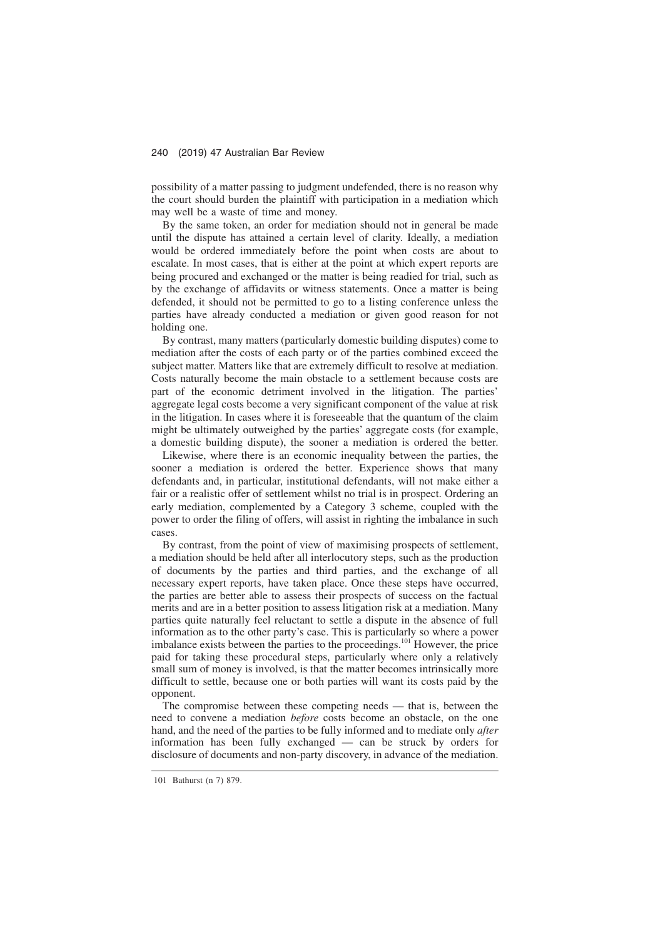possibility of a matter passing to judgment undefended, there is no reason why the court should burden the plaintiff with participation in a mediation which may well be a waste of time and money.

By the same token, an order for mediation should not in general be made until the dispute has attained a certain level of clarity. Ideally, a mediation would be ordered immediately before the point when costs are about to escalate. In most cases, that is either at the point at which expert reports are being procured and exchanged or the matter is being readied for trial, such as by the exchange of affidavits or witness statements. Once a matter is being defended, it should not be permitted to go to a listing conference unless the parties have already conducted a mediation or given good reason for not holding one.

By contrast, many matters (particularly domestic building disputes) come to mediation after the costs of each party or of the parties combined exceed the subject matter. Matters like that are extremely difficult to resolve at mediation. Costs naturally become the main obstacle to a settlement because costs are part of the economic detriment involved in the litigation. The parties' aggregate legal costs become a very significant component of the value at risk in the litigation. In cases where it is foreseeable that the quantum of the claim might be ultimately outweighed by the parties' aggregate costs (for example, a domestic building dispute), the sooner a mediation is ordered the better.

Likewise, where there is an economic inequality between the parties, the sooner a mediation is ordered the better. Experience shows that many defendants and, in particular, institutional defendants, will not make either a fair or a realistic offer of settlement whilst no trial is in prospect. Ordering an early mediation, complemented by a Category 3 scheme, coupled with the power to order the filing of offers, will assist in righting the imbalance in such cases.

By contrast, from the point of view of maximising prospects of settlement, a mediation should be held after all interlocutory steps, such as the production of documents by the parties and third parties, and the exchange of all necessary expert reports, have taken place. Once these steps have occurred, the parties are better able to assess their prospects of success on the factual merits and are in a better position to assess litigation risk at a mediation. Many parties quite naturally feel reluctant to settle a dispute in the absence of full information as to the other party's case. This is particularly so where a power imbalance exists between the parties to the proceedings.<sup>101</sup> However, the price paid for taking these procedural steps, particularly where only a relatively small sum of money is involved, is that the matter becomes intrinsically more difficult to settle, because one or both parties will want its costs paid by the opponent.

The compromise between these competing needs — that is, between the need to convene a mediation *before* costs become an obstacle, on the one hand, and the need of the parties to be fully informed and to mediate only *after* information has been fully exchanged — can be struck by orders for disclosure of documents and non-party discovery, in advance of the mediation.

<sup>101</sup> Bathurst (n 7) 879.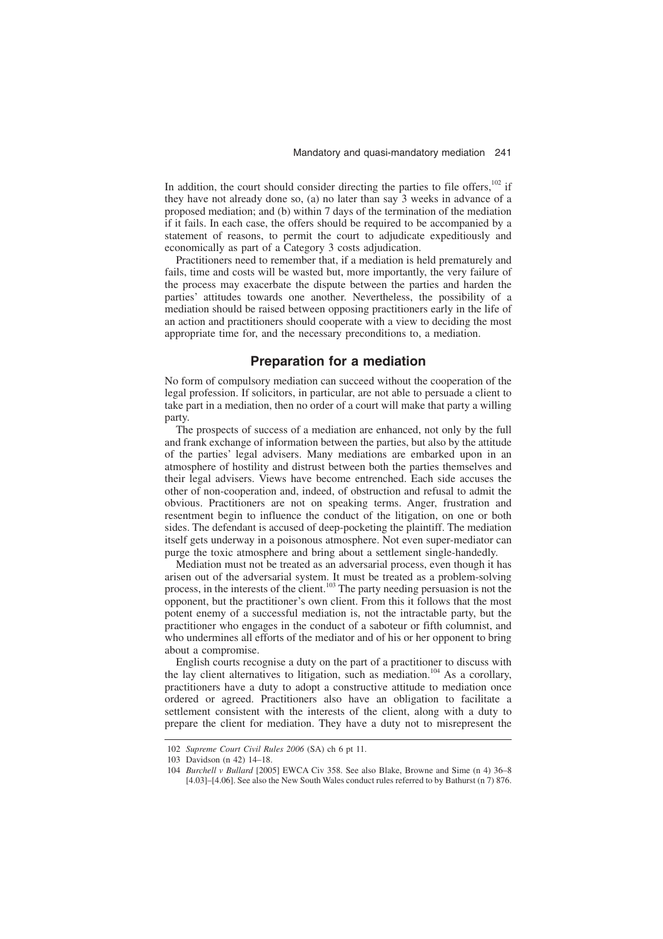In addition, the court should consider directing the parties to file offers, $102$  if they have not already done so, (a) no later than say 3 weeks in advance of a proposed mediation; and (b) within 7 days of the termination of the mediation if it fails. In each case, the offers should be required to be accompanied by a statement of reasons, to permit the court to adjudicate expeditiously and economically as part of a Category 3 costs adjudication.

Practitioners need to remember that, if a mediation is held prematurely and fails, time and costs will be wasted but, more importantly, the very failure of the process may exacerbate the dispute between the parties and harden the parties' attitudes towards one another. Nevertheless, the possibility of a mediation should be raised between opposing practitioners early in the life of an action and practitioners should cooperate with a view to deciding the most appropriate time for, and the necessary preconditions to, a mediation.

# **Preparation for a mediation**

No form of compulsory mediation can succeed without the cooperation of the legal profession. If solicitors, in particular, are not able to persuade a client to take part in a mediation, then no order of a court will make that party a willing party.

The prospects of success of a mediation are enhanced, not only by the full and frank exchange of information between the parties, but also by the attitude of the parties' legal advisers. Many mediations are embarked upon in an atmosphere of hostility and distrust between both the parties themselves and their legal advisers. Views have become entrenched. Each side accuses the other of non-cooperation and, indeed, of obstruction and refusal to admit the obvious. Practitioners are not on speaking terms. Anger, frustration and resentment begin to influence the conduct of the litigation, on one or both sides. The defendant is accused of deep-pocketing the plaintiff. The mediation itself gets underway in a poisonous atmosphere. Not even super-mediator can purge the toxic atmosphere and bring about a settlement single-handedly.

Mediation must not be treated as an adversarial process, even though it has arisen out of the adversarial system. It must be treated as a problem-solving process, in the interests of the client.<sup>103</sup> The party needing persuasion is not the opponent, but the practitioner's own client. From this it follows that the most potent enemy of a successful mediation is, not the intractable party, but the practitioner who engages in the conduct of a saboteur or fifth columnist, and who undermines all efforts of the mediator and of his or her opponent to bring about a compromise.

English courts recognise a duty on the part of a practitioner to discuss with the lay client alternatives to litigation, such as mediation.<sup>104</sup> As a corollary, practitioners have a duty to adopt a constructive attitude to mediation once ordered or agreed. Practitioners also have an obligation to facilitate a settlement consistent with the interests of the client, along with a duty to prepare the client for mediation. They have a duty not to misrepresent the

<sup>102</sup> *Supreme Court Civil Rules 2006* (SA) ch 6 pt 11.

<sup>103</sup> Davidson (n 42) 14–18.

<sup>104</sup> *Burchell v Bullard* [2005] EWCA Civ 358. See also Blake, Browne and Sime (n 4) 36–8 [4.03]–[4.06]. See also the New South Wales conduct rules referred to by Bathurst (n 7) 876.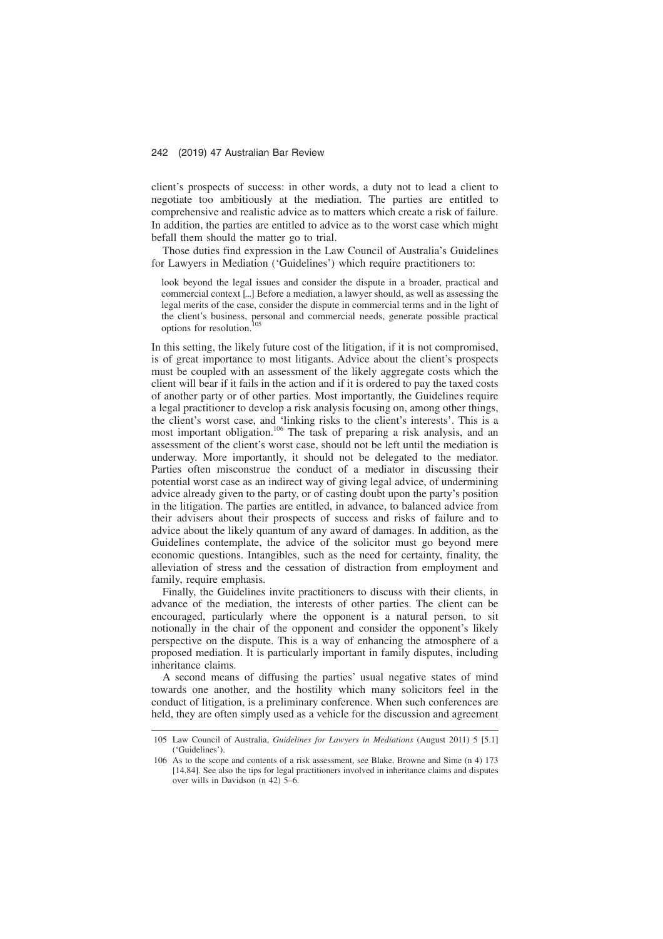client's prospects of success: in other words, a duty not to lead a client to negotiate too ambitiously at the mediation. The parties are entitled to comprehensive and realistic advice as to matters which create a risk of failure. In addition, the parties are entitled to advice as to the worst case which might befall them should the matter go to trial.

Those duties find expression in the Law Council of Australia's Guidelines for Lawyers in Mediation ('Guidelines') which require practitioners to:

look beyond the legal issues and consider the dispute in a broader, practical and commercial context [-] Before a mediation, a lawyer should, as well as assessing the legal merits of the case, consider the dispute in commercial terms and in the light of the client's business, personal and commercial needs, generate possible practical options for resolution.

In this setting, the likely future cost of the litigation, if it is not compromised, is of great importance to most litigants. Advice about the client's prospects must be coupled with an assessment of the likely aggregate costs which the client will bear if it fails in the action and if it is ordered to pay the taxed costs of another party or of other parties. Most importantly, the Guidelines require a legal practitioner to develop a risk analysis focusing on, among other things, the client's worst case, and 'linking risks to the client's interests'. This is a most important obligation.<sup>106</sup> The task of preparing a risk analysis, and an assessment of the client's worst case, should not be left until the mediation is underway. More importantly, it should not be delegated to the mediator. Parties often misconstrue the conduct of a mediator in discussing their potential worst case as an indirect way of giving legal advice, of undermining advice already given to the party, or of casting doubt upon the party's position in the litigation. The parties are entitled, in advance, to balanced advice from their advisers about their prospects of success and risks of failure and to advice about the likely quantum of any award of damages. In addition, as the Guidelines contemplate, the advice of the solicitor must go beyond mere economic questions. Intangibles, such as the need for certainty, finality, the alleviation of stress and the cessation of distraction from employment and family, require emphasis.

Finally, the Guidelines invite practitioners to discuss with their clients, in advance of the mediation, the interests of other parties. The client can be encouraged, particularly where the opponent is a natural person, to sit notionally in the chair of the opponent and consider the opponent's likely perspective on the dispute. This is a way of enhancing the atmosphere of a proposed mediation. It is particularly important in family disputes, including inheritance claims.

A second means of diffusing the parties' usual negative states of mind towards one another, and the hostility which many solicitors feel in the conduct of litigation, is a preliminary conference. When such conferences are held, they are often simply used as a vehicle for the discussion and agreement

<sup>105</sup> Law Council of Australia, *Guidelines for Lawyers in Mediations* (August 2011) 5 [5.1] ('Guidelines').

<sup>106</sup> As to the scope and contents of a risk assessment, see Blake, Browne and Sime (n 4) 173 [14.84]. See also the tips for legal practitioners involved in inheritance claims and disputes over wills in Davidson (n 42) 5–6.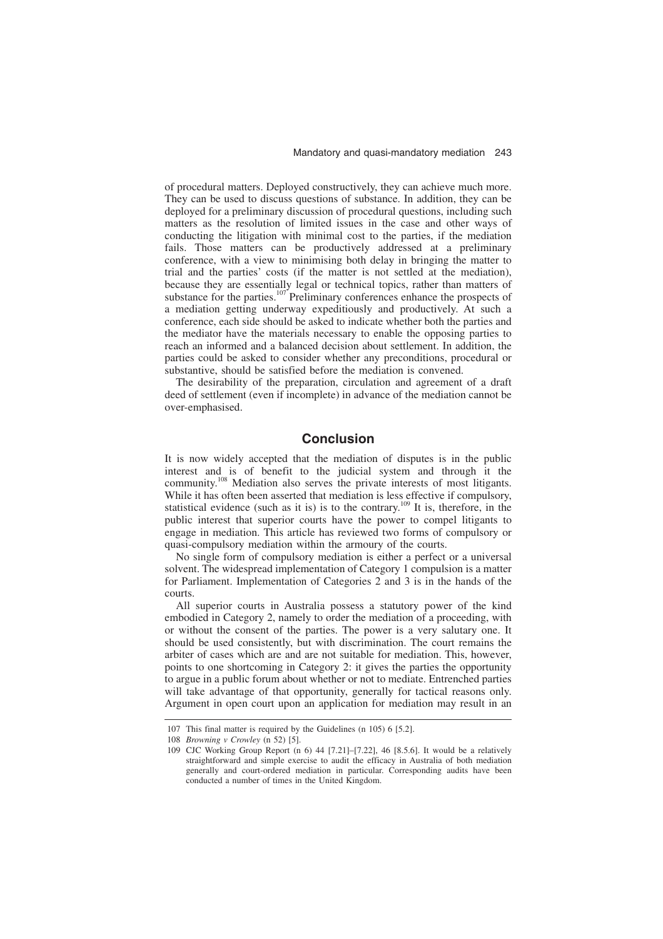of procedural matters. Deployed constructively, they can achieve much more. They can be used to discuss questions of substance. In addition, they can be deployed for a preliminary discussion of procedural questions, including such matters as the resolution of limited issues in the case and other ways of conducting the litigation with minimal cost to the parties, if the mediation fails. Those matters can be productively addressed at a preliminary conference, with a view to minimising both delay in bringing the matter to trial and the parties' costs (if the matter is not settled at the mediation), because they are essentially legal or technical topics, rather than matters of substance for the parties.<sup>107</sup> Preliminary conferences enhance the prospects of a mediation getting underway expeditiously and productively. At such a conference, each side should be asked to indicate whether both the parties and the mediator have the materials necessary to enable the opposing parties to reach an informed and a balanced decision about settlement. In addition, the parties could be asked to consider whether any preconditions, procedural or substantive, should be satisfied before the mediation is convened.

The desirability of the preparation, circulation and agreement of a draft deed of settlement (even if incomplete) in advance of the mediation cannot be over-emphasised.

# **Conclusion**

It is now widely accepted that the mediation of disputes is in the public interest and is of benefit to the judicial system and through it the community.<sup>108</sup> Mediation also serves the private interests of most litigants. While it has often been asserted that mediation is less effective if compulsory, statistical evidence (such as it is) is to the contrary.<sup>109</sup> It is, therefore, in the public interest that superior courts have the power to compel litigants to engage in mediation. This article has reviewed two forms of compulsory or quasi-compulsory mediation within the armoury of the courts.

No single form of compulsory mediation is either a perfect or a universal solvent. The widespread implementation of Category 1 compulsion is a matter for Parliament. Implementation of Categories 2 and 3 is in the hands of the courts.

All superior courts in Australia possess a statutory power of the kind embodied in Category 2, namely to order the mediation of a proceeding, with or without the consent of the parties. The power is a very salutary one. It should be used consistently, but with discrimination. The court remains the arbiter of cases which are and are not suitable for mediation. This, however, points to one shortcoming in Category 2: it gives the parties the opportunity to argue in a public forum about whether or not to mediate. Entrenched parties will take advantage of that opportunity, generally for tactical reasons only. Argument in open court upon an application for mediation may result in an

<sup>107</sup> This final matter is required by the Guidelines (n 105) 6 [5.2].

<sup>108</sup> *Browning v Crowley* (n 52) [5].

<sup>109</sup> CJC Working Group Report (n 6) 44 [7.21]–[7.22], 46 [8.5.6]. It would be a relatively straightforward and simple exercise to audit the efficacy in Australia of both mediation generally and court-ordered mediation in particular. Corresponding audits have been conducted a number of times in the United Kingdom.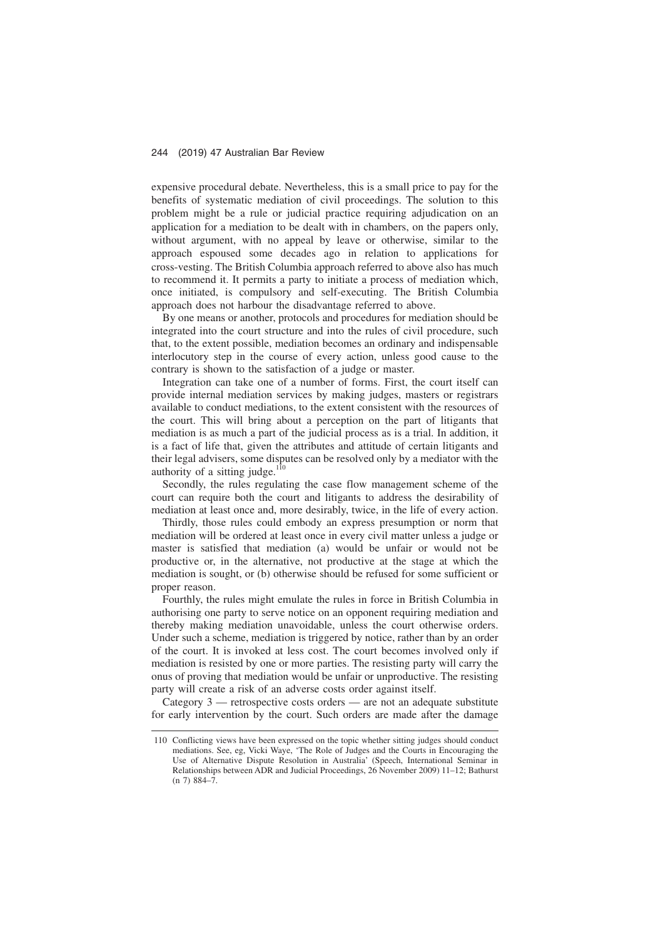expensive procedural debate. Nevertheless, this is a small price to pay for the benefits of systematic mediation of civil proceedings. The solution to this problem might be a rule or judicial practice requiring adjudication on an application for a mediation to be dealt with in chambers, on the papers only, without argument, with no appeal by leave or otherwise, similar to the approach espoused some decades ago in relation to applications for cross-vesting. The British Columbia approach referred to above also has much to recommend it. It permits a party to initiate a process of mediation which, once initiated, is compulsory and self-executing. The British Columbia approach does not harbour the disadvantage referred to above.

By one means or another, protocols and procedures for mediation should be integrated into the court structure and into the rules of civil procedure, such that, to the extent possible, mediation becomes an ordinary and indispensable interlocutory step in the course of every action, unless good cause to the contrary is shown to the satisfaction of a judge or master.

Integration can take one of a number of forms. First, the court itself can provide internal mediation services by making judges, masters or registrars available to conduct mediations, to the extent consistent with the resources of the court. This will bring about a perception on the part of litigants that mediation is as much a part of the judicial process as is a trial. In addition, it is a fact of life that, given the attributes and attitude of certain litigants and their legal advisers, some disputes can be resolved only by a mediator with the authority of a sitting judge. $110$ 

Secondly, the rules regulating the case flow management scheme of the court can require both the court and litigants to address the desirability of mediation at least once and, more desirably, twice, in the life of every action.

Thirdly, those rules could embody an express presumption or norm that mediation will be ordered at least once in every civil matter unless a judge or master is satisfied that mediation (a) would be unfair or would not be productive or, in the alternative, not productive at the stage at which the mediation is sought, or (b) otherwise should be refused for some sufficient or proper reason.

Fourthly, the rules might emulate the rules in force in British Columbia in authorising one party to serve notice on an opponent requiring mediation and thereby making mediation unavoidable, unless the court otherwise orders. Under such a scheme, mediation is triggered by notice, rather than by an order of the court. It is invoked at less cost. The court becomes involved only if mediation is resisted by one or more parties. The resisting party will carry the onus of proving that mediation would be unfair or unproductive. The resisting party will create a risk of an adverse costs order against itself.

Category 3 — retrospective costs orders — are not an adequate substitute for early intervention by the court. Such orders are made after the damage

<sup>110</sup> Conflicting views have been expressed on the topic whether sitting judges should conduct mediations. See, eg, Vicki Waye, 'The Role of Judges and the Courts in Encouraging the Use of Alternative Dispute Resolution in Australia' (Speech, International Seminar in Relationships between ADR and Judicial Proceedings, 26 November 2009) 11–12; Bathurst  $(n 7) 884 - 7$